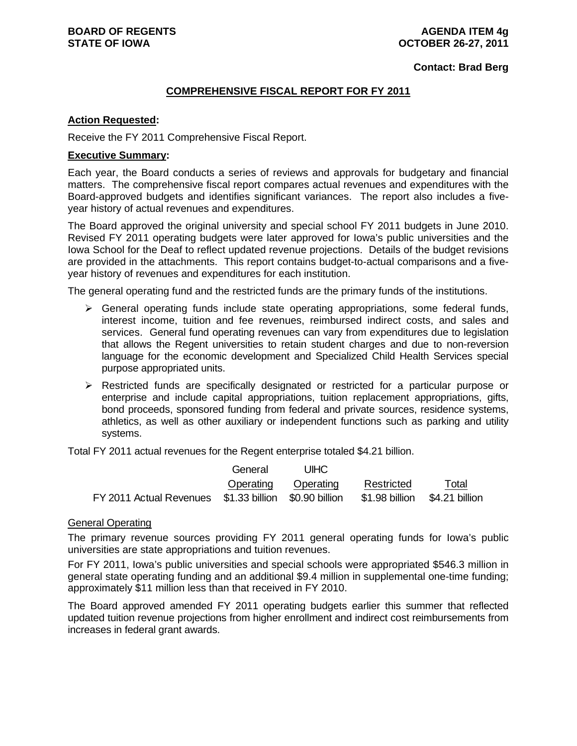**Contact: Brad Berg**

## **COMPREHENSIVE FISCAL REPORT FOR FY 2011**

#### **Action Requested:**

Receive the FY 2011 Comprehensive Fiscal Report.

### **Executive Summary:**

Each year, the Board conducts a series of reviews and approvals for budgetary and financial matters. The comprehensive fiscal report compares actual revenues and expenditures with the Board-approved budgets and identifies significant variances. The report also includes a fiveyear history of actual revenues and expenditures.

The Board approved the original university and special school FY 2011 budgets in June 2010. Revised FY 2011 operating budgets were later approved for Iowa's public universities and the Iowa School for the Deaf to reflect updated revenue projections. Details of the budget revisions are provided in the attachments. This report contains budget-to-actual comparisons and a fiveyear history of revenues and expenditures for each institution.

The general operating fund and the restricted funds are the primary funds of the institutions.

- $\triangleright$  General operating funds include state operating appropriations, some federal funds, interest income, tuition and fee revenues, reimbursed indirect costs, and sales and services. General fund operating revenues can vary from expenditures due to legislation that allows the Regent universities to retain student charges and due to non-reversion language for the economic development and Specialized Child Health Services special purpose appropriated units.
- $\triangleright$  Restricted funds are specifically designated or restricted for a particular purpose or enterprise and include capital appropriations, tuition replacement appropriations, gifts, bond proceeds, sponsored funding from federal and private sources, residence systems, athletics, as well as other auxiliary or independent functions such as parking and utility systems.

Total FY 2011 actual revenues for the Regent enterprise totaled \$4.21 billion.

|                                                                                     | General | UIHC                |            |       |
|-------------------------------------------------------------------------------------|---------|---------------------|------------|-------|
|                                                                                     |         | Operating Operating | Restricted | Total |
| FY 2011 Actual Revenues \$1.33 billion \$0.90 billion \$1.98 billion \$4.21 billion |         |                     |            |       |

#### General Operating

The primary revenue sources providing FY 2011 general operating funds for Iowa's public universities are state appropriations and tuition revenues.

For FY 2011, Iowa's public universities and special schools were appropriated \$546.3 million in general state operating funding and an additional \$9.4 million in supplemental one-time funding; approximately \$11 million less than that received in FY 2010.

The Board approved amended FY 2011 operating budgets earlier this summer that reflected updated tuition revenue projections from higher enrollment and indirect cost reimbursements from increases in federal grant awards.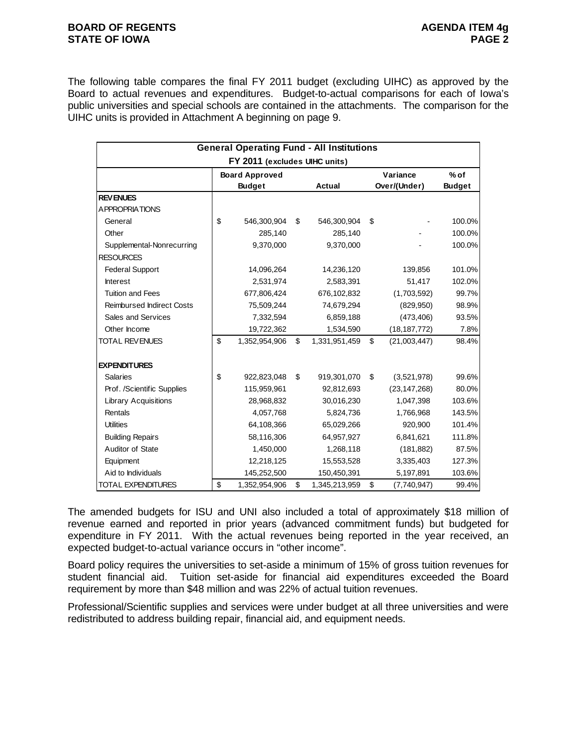#### **BOARD OF REGENTS AGENDA ITEM 4g STATE OF IOWA** PAGE 2

The following table compares the final FY 2011 budget (excluding UIHC) as approved by the Board to actual revenues and expenditures. Budget-to-actual comparisons for each of Iowa's public universities and special schools are contained in the attachments. The comparison for the UIHC units is provided in Attachment A beginning on page 9.

|                                  |               | <b>General Operating Fund - All Institutions</b> |                     |                          |                         |
|----------------------------------|---------------|--------------------------------------------------|---------------------|--------------------------|-------------------------|
|                                  |               | FY 2011 (excludes UIHC units)                    |                     |                          |                         |
|                                  |               | <b>Board Approved</b><br><b>Budget</b>           | Actual              | Variance<br>Over/(Under) | $%$ of<br><b>Budget</b> |
| <b>REVENUES</b>                  |               |                                                  |                     |                          |                         |
| <b>APPROPRIATIONS</b>            |               |                                                  |                     |                          |                         |
| General                          | \$            | 546,300,904                                      | \$<br>546,300,904   | \$                       | 100.0%                  |
| Other                            |               | 285,140                                          | 285,140             |                          | 100.0%                  |
| Supplemental-Nonrecurring        |               | 9,370,000                                        | 9,370,000           |                          | 100.0%                  |
| <b>RESOURCES</b>                 |               |                                                  |                     |                          |                         |
| <b>Federal Support</b>           |               | 14,096,264                                       | 14,236,120          | 139,856                  | 101.0%                  |
| <b>Interest</b>                  |               | 2,531,974                                        | 2,583,391           | 51,417                   | 102.0%                  |
| <b>Tuition and Fees</b>          |               | 677,806,424                                      | 676,102,832         | (1,703,592)              | 99.7%                   |
| <b>Reimbursed Indirect Costs</b> |               | 75,509,244                                       | 74,679,294          | (829, 950)               | 98.9%                   |
| Sales and Services               |               | 7,332,594                                        | 6,859,188           | (473, 406)               | 93.5%                   |
| Other Income                     |               | 19,722,362                                       | 1,534,590           | (18, 187, 772)           | 7.8%                    |
| TOTAL REVENUES                   | $\mathsf{\$}$ | 1,352,954,906                                    | \$<br>1,331,951,459 | \$<br>(21,003,447)       | 98.4%                   |
|                                  |               |                                                  |                     |                          |                         |
| <b>EXPENDITURES</b>              |               |                                                  |                     |                          |                         |
| <b>Salaries</b>                  | \$            | 922,823,048                                      | \$<br>919,301,070   | \$<br>(3,521,978)        | 99.6%                   |
| Prof. /Scientific Supplies       |               | 115,959,961                                      | 92,812,693          | (23, 147, 268)           | 80.0%                   |
| <b>Library Acquisitions</b>      |               | 28,968,832                                       | 30,016,230          | 1,047,398                | 103.6%                  |
| Rentals                          |               | 4,057,768                                        | 5,824,736           | 1,766,968                | 143.5%                  |
| <b>Utilities</b>                 |               | 64,108,366                                       | 65,029,266          | 920,900                  | 101.4%                  |
| <b>Building Repairs</b>          |               | 58,116,306                                       | 64,957,927          | 6,841,621                | 111.8%                  |
| Auditor of State                 |               | 1,450,000                                        | 1,268,118           | (181, 882)               | 87.5%                   |
| Equipment                        |               | 12,218,125                                       | 15,553,528          | 3,335,403                | 127.3%                  |
| Aid to Individuals               |               | 145,252,500                                      | 150,450,391         | 5,197,891                | 103.6%                  |
| TOTAL EXPENDITURES               | \$            | 1,352,954,906                                    | \$<br>1,345,213,959 | \$<br>(7,740,947)        | 99.4%                   |

The amended budgets for ISU and UNI also included a total of approximately \$18 million of revenue earned and reported in prior years (advanced commitment funds) but budgeted for expenditure in FY 2011. With the actual revenues being reported in the year received, an expected budget-to-actual variance occurs in "other income".

Board policy requires the universities to set-aside a minimum of 15% of gross tuition revenues for student financial aid. Tuition set-aside for financial aid expenditures exceeded the Board requirement by more than \$48 million and was 22% of actual tuition revenues.

Professional/Scientific supplies and services were under budget at all three universities and were redistributed to address building repair, financial aid, and equipment needs.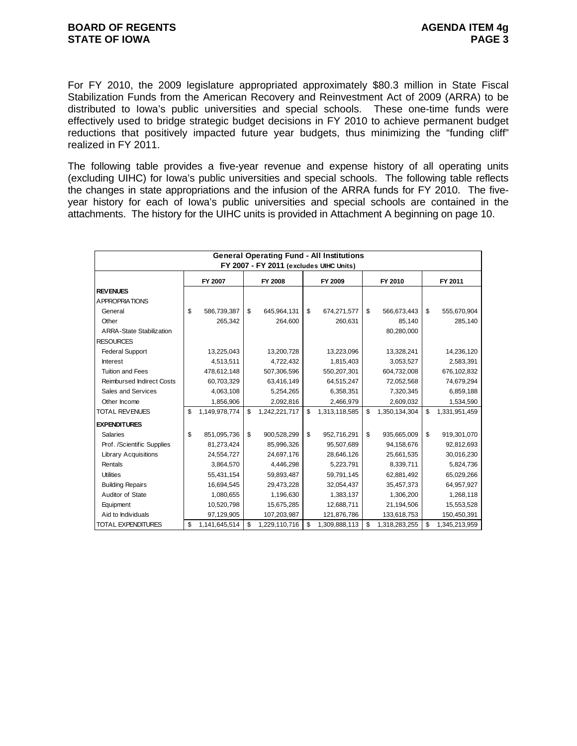For FY 2010, the 2009 legislature appropriated approximately \$80.3 million in State Fiscal Stabilization Funds from the American Recovery and Reinvestment Act of 2009 (ARRA) to be distributed to Iowa's public universities and special schools. These one-time funds were effectively used to bridge strategic budget decisions in FY 2010 to achieve permanent budget reductions that positively impacted future year budgets, thus minimizing the "funding cliff" realized in FY 2011.

The following table provides a five-year revenue and expense history of all operating units (excluding UIHC) for Iowa's public universities and special schools. The following table reflects the changes in state appropriations and the infusion of the ARRA funds for FY 2010. The fiveyear history for each of Iowa's public universities and special schools are contained in the attachments. The history for the UIHC units is provided in Attachment A beginning on page 10.

| <b>General Operating Fund - All Institutions</b><br>FY 2007 - FY 2011 (excludes UIHC Units) |    |               |    |               |    |               |         |               |    |               |  |
|---------------------------------------------------------------------------------------------|----|---------------|----|---------------|----|---------------|---------|---------------|----|---------------|--|
|                                                                                             |    |               |    |               |    |               |         |               |    |               |  |
|                                                                                             |    | FY 2007       |    | FY 2008       |    | FY 2009       | FY 2010 |               |    | FY 2011       |  |
| <b>REVENUES</b>                                                                             |    |               |    |               |    |               |         |               |    |               |  |
| A PPROPRIATIONS                                                                             |    |               |    |               |    |               |         |               |    |               |  |
| General                                                                                     | \$ | 586,739,387   | \$ | 645,964,131   | \$ | 674,271,577   | \$      | 566,673,443   | \$ | 555,670,904   |  |
| Other                                                                                       |    | 265,342       |    | 264,600       |    | 260,631       |         | 85,140        |    | 285,140       |  |
| <b>ARRA-State Stabilization</b>                                                             |    |               |    |               |    |               |         | 80,280,000    |    |               |  |
| <b>RESOURCES</b>                                                                            |    |               |    |               |    |               |         |               |    |               |  |
| <b>Federal Support</b>                                                                      |    | 13,225,043    |    | 13,200,728    |    | 13,223,096    |         | 13,328,241    |    | 14,236,120    |  |
| <b>Interest</b>                                                                             |    | 4,513,511     |    | 4,722,432     |    | 1,815,403     |         | 3,053,527     |    | 2,583,391     |  |
| <b>Tuition and Fees</b>                                                                     |    | 478,612,148   |    | 507,306,596   |    | 550,207,301   |         | 604,732,008   |    | 676,102,832   |  |
| <b>Reimbursed Indirect Costs</b>                                                            |    | 60,703,329    |    | 63,416,149    |    | 64,515,247    |         | 72,052,568    |    | 74,679,294    |  |
| Sales and Services                                                                          |    | 4,063,108     |    | 5,254,265     |    | 6,358,351     |         | 7,320,345     |    | 6,859,188     |  |
| Other Income                                                                                |    | 1,856,906     |    | 2,092,816     |    | 2,466,979     |         | 2,609,032     |    | 1,534,590     |  |
| <b>TOTAL REVENUES</b>                                                                       | \$ | 1,149,978,774 | \$ | 1,242,221,717 | \$ | 1,313,118,585 | \$      | 1,350,134,304 | \$ | 1,331,951,459 |  |
| <b>EXPENDITURES</b>                                                                         |    |               |    |               |    |               |         |               |    |               |  |
| <b>Salaries</b>                                                                             | \$ | 851,095,736   | \$ | 900,528,299   | \$ | 952,716,291   | \$      | 935,665,009   | \$ | 919,301,070   |  |
| Prof. /Scientific Supplies                                                                  |    | 81,273,424    |    | 85,996,326    |    | 95,507,689    |         | 94,158,676    |    | 92,812,693    |  |
| <b>Library Acquisitions</b>                                                                 |    | 24,554,727    |    | 24.697.176    |    | 28,646,126    |         | 25,661,535    |    | 30,016,230    |  |
| Rentals                                                                                     |    | 3,864,570     |    | 4,446,298     |    | 5,223,791     |         | 8,339,711     |    | 5,824,736     |  |
| <b>Utilities</b>                                                                            |    | 55,431,154    |    | 59,893,487    |    | 59,791,145    |         | 62,881,492    |    | 65,029,266    |  |
| <b>Building Repairs</b>                                                                     |    | 16,694,545    |    | 29,473,228    |    | 32,054,437    |         | 35,457,373    |    | 64,957,927    |  |
| Auditor of State                                                                            |    | 1,080,655     |    | 1,196,630     |    | 1,383,137     |         | 1,306,200     |    | 1,268,118     |  |
| Equipment                                                                                   |    | 10,520,798    |    | 15,675,285    |    | 12,688,711    |         | 21,194,506    |    | 15,553,528    |  |
| Aid to Individuals                                                                          |    | 97,129,905    |    | 107,203,987   |    | 121,876,786   |         | 133,618,753   |    | 150,450,391   |  |
| TOTAL EXPENDITURES                                                                          | \$ | 1,141,645,514 | \$ | 1,229,110,716 | \$ | 1,309,888,113 | \$      | 1,318,283,255 | \$ | 1,345,213,959 |  |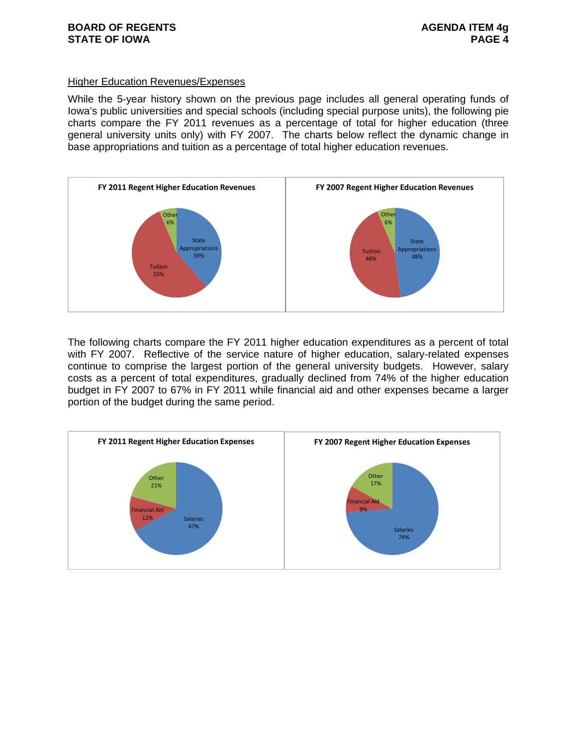#### Higher Education Revenues/Expenses

While the 5-year history shown on the previous page includes all general operating funds of Iowa's public universities and special schools (including special purpose units), the following pie charts compare the FY 2011 revenues as a percentage of total for higher education (three general university units only) with FY 2007. The charts below reflect the dynamic change in base appropriations and tuition as a percentage of total higher education revenues.



The following charts compare the FY 2011 higher education expenditures as a percent of total with FY 2007. Reflective of the service nature of higher education, salary-related expenses continue to comprise the largest portion of the general university budgets. However, salary costs as a percent of total expenditures, gradually declined from 74% of the higher education budget in FY 2007 to 67% in FY 2011 while financial aid and other expenses became a larger portion of the budget during the same period.

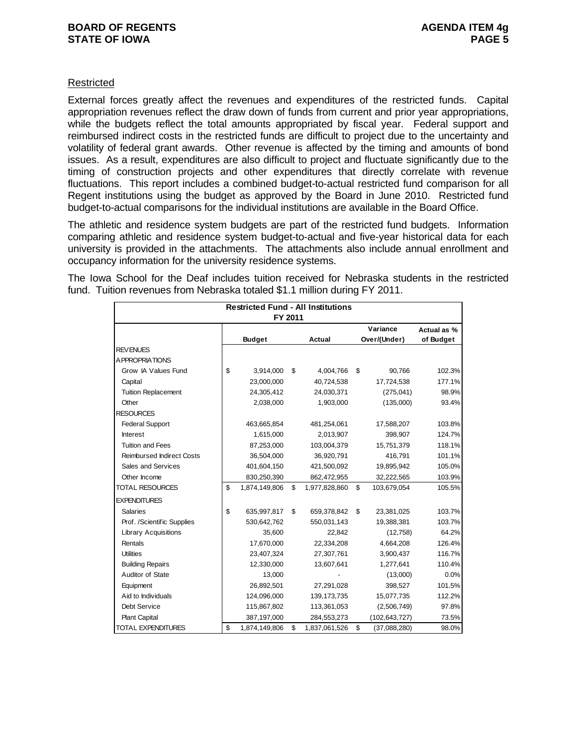## **Restricted**

External forces greatly affect the revenues and expenditures of the restricted funds. Capital appropriation revenues reflect the draw down of funds from current and prior year appropriations, while the budgets reflect the total amounts appropriated by fiscal year. Federal support and reimbursed indirect costs in the restricted funds are difficult to project due to the uncertainty and volatility of federal grant awards. Other revenue is affected by the timing and amounts of bond issues. As a result, expenditures are also difficult to project and fluctuate significantly due to the timing of construction projects and other expenditures that directly correlate with revenue fluctuations. This report includes a combined budget-to-actual restricted fund comparison for all Regent institutions using the budget as approved by the Board in June 2010. Restricted fund budget-to-actual comparisons for the individual institutions are available in the Board Office.

The athletic and residence system budgets are part of the restricted fund budgets. Information comparing athletic and residence system budget-to-actual and five-year historical data for each university is provided in the attachments. The attachments also include annual enrollment and occupancy information for the university residence systems.

The Iowa School for the Deaf includes tuition received for Nebraska students in the restricted fund. Tuition revenues from Nebraska totaled \$1.1 million during FY 2011.

|                                  | <b>Restricted Fund - All Institutions</b> |               |    |               |    |                 |             |  |  |  |  |  |
|----------------------------------|-------------------------------------------|---------------|----|---------------|----|-----------------|-------------|--|--|--|--|--|
|                                  |                                           | FY 2011       |    |               |    |                 |             |  |  |  |  |  |
|                                  |                                           |               |    |               |    | Variance        | Actual as % |  |  |  |  |  |
|                                  |                                           | <b>Budget</b> |    | Actual        |    | Over/(Under)    | of Budget   |  |  |  |  |  |
| <b>REVENUES</b>                  |                                           |               |    |               |    |                 |             |  |  |  |  |  |
| A PPROPRIATIONS                  |                                           |               |    |               |    |                 |             |  |  |  |  |  |
| Grow IA Values Fund              | \$                                        | 3,914,000     | \$ | 4,004,766     | \$ | 90,766          | 102.3%      |  |  |  |  |  |
| Capital                          |                                           | 23,000,000    |    | 40,724,538    |    | 17,724,538      | 177.1%      |  |  |  |  |  |
| <b>Tuition Replacement</b>       |                                           | 24,305,412    |    | 24,030,371    |    | (275, 041)      | 98.9%       |  |  |  |  |  |
| Other                            |                                           | 2,038,000     |    | 1,903,000     |    | (135,000)       | 93.4%       |  |  |  |  |  |
| <b>RESOURCES</b>                 |                                           |               |    |               |    |                 |             |  |  |  |  |  |
| <b>Federal Support</b>           |                                           | 463,665,854   |    | 481,254,061   |    | 17,588,207      | 103.8%      |  |  |  |  |  |
| <b>Interest</b>                  |                                           | 1,615,000     |    | 2,013,907     |    | 398,907         | 124.7%      |  |  |  |  |  |
| <b>Tuition and Fees</b>          |                                           | 87,253,000    |    | 103,004,379   |    | 15,751,379      | 118.1%      |  |  |  |  |  |
| <b>Reimbursed Indirect Costs</b> |                                           | 36,504,000    |    | 36,920,791    |    | 416,791         | 101.1%      |  |  |  |  |  |
| Sales and Services               |                                           | 401,604,150   |    | 421,500,092   |    | 19,895,942      | 105.0%      |  |  |  |  |  |
| Other Income                     |                                           | 830,250,390   |    | 862,472,955   |    | 32,222,565      | 103.9%      |  |  |  |  |  |
| <b>TOTAL RESOURCES</b>           | \$                                        | 1,874,149,806 | \$ | 1,977,828,860 | \$ | 103,679,054     | 105.5%      |  |  |  |  |  |
| <b>EXPENDITURES</b>              |                                           |               |    |               |    |                 |             |  |  |  |  |  |
| <b>Salaries</b>                  | \$                                        | 635,997,817   | \$ | 659,378,842   | \$ | 23,381,025      | 103.7%      |  |  |  |  |  |
| Prof. /Scientific Supplies       |                                           | 530,642,762   |    | 550,031,143   |    | 19,388,381      | 103.7%      |  |  |  |  |  |
| <b>Library Acquisitions</b>      |                                           | 35,600        |    | 22,842        |    | (12,758)        | 64.2%       |  |  |  |  |  |
| Rentals                          |                                           | 17,670,000    |    | 22,334,208    |    | 4,664,208       | 126.4%      |  |  |  |  |  |
| <b>Utilities</b>                 |                                           | 23,407,324    |    | 27,307,761    |    | 3,900,437       | 116.7%      |  |  |  |  |  |
| <b>Building Repairs</b>          |                                           | 12,330,000    |    | 13,607,641    |    | 1,277,641       | 110.4%      |  |  |  |  |  |
| Auditor of State                 |                                           | 13,000        |    |               |    | (13,000)        | 0.0%        |  |  |  |  |  |
| Equipment                        |                                           | 26,892,501    |    | 27,291,028    |    | 398,527         | 101.5%      |  |  |  |  |  |
| Aid to Individuals               |                                           | 124,096,000   |    | 139, 173, 735 |    | 15,077,735      | 112.2%      |  |  |  |  |  |
| Debt Service                     |                                           | 115,867,802   |    | 113,361,053   |    | (2,506,749)     | 97.8%       |  |  |  |  |  |
| <b>Plant Capital</b>             |                                           | 387,197,000   |    | 284,553,273   |    | (102, 643, 727) | 73.5%       |  |  |  |  |  |
| <b>TOTAL EXPENDITURES</b>        | \$                                        | 1,874,149,806 | \$ | 1,837,061,526 | \$ | (37,088,280)    | 98.0%       |  |  |  |  |  |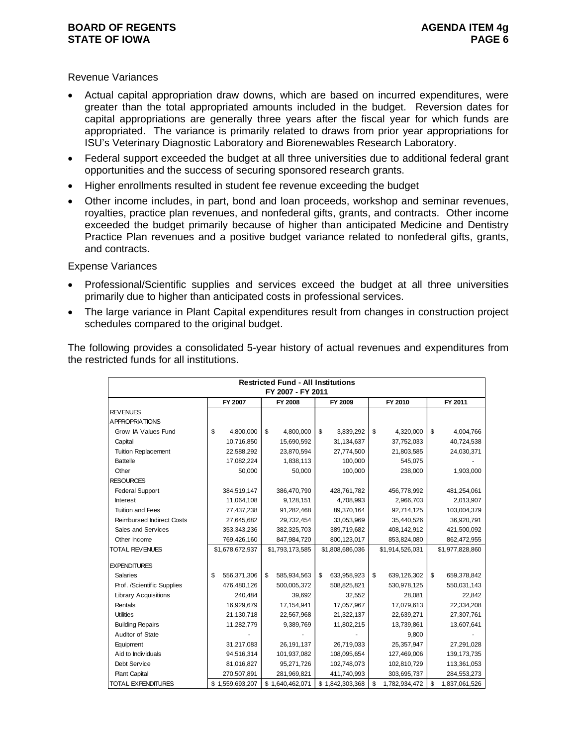### **BOARD OF REGENTS AGENUS AGENDA ITEM 4g STATE OF IOWA** PAGE 6 **PAGE 6**

### Revenue Variances

- Actual capital appropriation draw downs, which are based on incurred expenditures, were greater than the total appropriated amounts included in the budget. Reversion dates for capital appropriations are generally three years after the fiscal year for which funds are appropriated. The variance is primarily related to draws from prior year appropriations for ISU's Veterinary Diagnostic Laboratory and Biorenewables Research Laboratory.
- Federal support exceeded the budget at all three universities due to additional federal grant opportunities and the success of securing sponsored research grants.
- Higher enrollments resulted in student fee revenue exceeding the budget
- Other income includes, in part, bond and loan proceeds, workshop and seminar revenues, royalties, practice plan revenues, and nonfederal gifts, grants, and contracts. Other income exceeded the budget primarily because of higher than anticipated Medicine and Dentistry Practice Plan revenues and a positive budget variance related to nonfederal gifts, grants, and contracts.

#### Expense Variances

- Professional/Scientific supplies and services exceed the budget at all three universities primarily due to higher than anticipated costs in professional services.
- The large variance in Plant Capital expenditures result from changes in construction project schedules compared to the original budget.

The following provides a consolidated 5-year history of actual revenues and expenditures from the restricted funds for all institutions.

|                                  |                   | <b>Restricted Fund - All Institutions</b> |                   |                     |                     |
|----------------------------------|-------------------|-------------------------------------------|-------------------|---------------------|---------------------|
|                                  |                   | FY 2007 - FY 2011                         |                   |                     |                     |
|                                  | FY 2007           | FY 2008                                   | FY 2009           | FY 2010             | FY 2011             |
| <b>REVENUES</b>                  |                   |                                           |                   |                     |                     |
| <b>APPROPRIATIONS</b>            |                   |                                           |                   |                     |                     |
| Grow IA Values Fund              | \$<br>4,800,000   | \$<br>4,800,000                           | \$<br>3,839,292   | 4,320,000<br>\$     | 4,004,766<br>\$     |
| Capital                          | 10,716,850        | 15,690,592                                | 31,134,637        | 37,752,033          | 40,724,538          |
| <b>Tuition Replacement</b>       | 22,588,292        | 23,870,594                                | 27,774,500        | 21,803,585          | 24,030,371          |
| <b>Battelle</b>                  | 17,082,224        | 1,838,113                                 | 100,000           | 545,075             |                     |
| Other                            | 50,000            | 50,000                                    | 100,000           | 238,000             | 1,903,000           |
| <b>RESOURCES</b>                 |                   |                                           |                   |                     |                     |
| <b>Federal Support</b>           | 384,519,147       | 386,470,790                               | 428,761,782       | 456,778,992         | 481,254,061         |
| Interest                         | 11,064,108        | 9,128,151                                 | 4,708,993         | 2,966,703           | 2,013,907           |
| <b>Tuition and Fees</b>          | 77,437,238        | 91,282,468                                | 89,370,164        | 92,714,125          | 103,004,379         |
| <b>Reimbursed Indirect Costs</b> | 27,645,682        | 29,732,454                                | 33,053,969        | 35,440,526          | 36,920,791          |
| Sales and Services               | 353,343,236       | 382,325,703                               | 389,719,682       | 408,142,912         | 421,500,092         |
| Other Income                     | 769,426,160       | 847,984,720                               | 800,123,017       | 853,824,080         | 862,472,955         |
| <b>TOTAL REVENUES</b>            | \$1,678,672,937   | \$1,793,173,585                           | \$1,808,686,036   | \$1,914,526,031     | \$1,977,828,860     |
| <b>EXPENDITURES</b>              |                   |                                           |                   |                     |                     |
| <b>Salaries</b>                  | \$<br>556,371,306 | 585,934,563<br>\$                         | \$<br>633,958,923 | \$<br>639,126,302   | \$<br>659,378,842   |
| Prof. /Scientific Supplies       | 476,480,126       | 500,005,372                               | 508,825,821       | 530,978,125         | 550,031,143         |
| <b>Library Acquisitions</b>      | 240,484           | 39,692                                    | 32,552            | 28,081              | 22,842              |
| Rentals                          | 16,929,679        | 17,154,941                                | 17,057,967        | 17,079,613          | 22,334,208          |
| <b>Utilities</b>                 | 21,130,718        | 22,567,968                                | 21,322,137        | 22,639,271          | 27,307,761          |
| <b>Building Repairs</b>          | 11,282,779        | 9,389,769                                 | 11,802,215        | 13,739,861          | 13,607,641          |
| Auditor of State                 |                   |                                           |                   | 9,800               |                     |
| Equipment                        | 31,217,083        | 26,191,137                                | 26,719,033        | 25,357,947          | 27,291,028          |
| Aid to Individuals               | 94,516,314        | 101,937,082                               | 108,095,654       | 127,469,006         | 139, 173, 735       |
| Debt Service                     | 81,016,827        | 95,271,726                                | 102,748,073       | 102,810,729         | 113,361,053         |
| Plant Capital                    | 270,507,891       | 281,969,821                               | 411,740,993       | 303,695,737         | 284,553,273         |
| TOTAL EXPENDITURES               | \$1,559,693,207   | \$1,640,462,071                           | \$1,842,303,368   | \$<br>1,782,934,472 | \$<br>1,837,061,526 |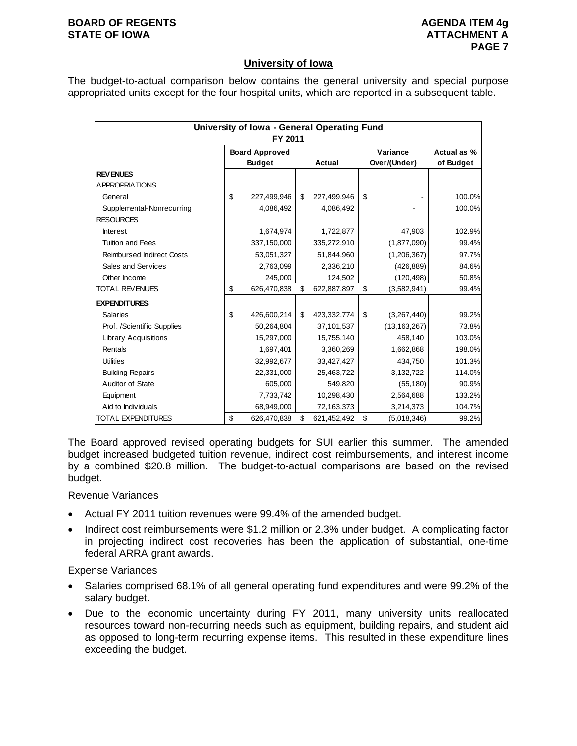#### **BOARD OF REGENTS AGENUS AGENDA ITEM 4g STATE OF IOWA ATTACHMENT A**

## **University of Iowa**

The budget-to-actual comparison below contains the general university and special purpose appropriated units except for the four hospital units, which are reported in a subsequent table.

| University of Iowa - General Operating Fund<br>FY 2011 |    |                                        |    |               |    |                          |                          |  |  |  |  |
|--------------------------------------------------------|----|----------------------------------------|----|---------------|----|--------------------------|--------------------------|--|--|--|--|
|                                                        |    | <b>Board Approved</b><br><b>Budget</b> |    | <b>Actual</b> |    | Variance<br>Over/(Under) | Actual as %<br>of Budget |  |  |  |  |
| <b>REVENUES</b>                                        |    |                                        |    |               |    |                          |                          |  |  |  |  |
| A PPROPRIATIONS                                        |    |                                        |    |               |    |                          |                          |  |  |  |  |
| General                                                | \$ | 227,499,946                            | \$ | 227,499,946   | \$ |                          | 100.0%                   |  |  |  |  |
| Supplemental-Nonrecurring                              |    | 4,086,492                              |    | 4,086,492     |    |                          | 100.0%                   |  |  |  |  |
| <b>RESOURCES</b>                                       |    |                                        |    |               |    |                          |                          |  |  |  |  |
| <b>Interest</b>                                        |    | 1,674,974                              |    | 1,722,877     |    | 47,903                   | 102.9%                   |  |  |  |  |
| <b>Tuition and Fees</b>                                |    | 337,150,000                            |    | 335,272,910   |    | (1,877,090)              | 99.4%                    |  |  |  |  |
| <b>Reimbursed Indirect Costs</b>                       |    | 53,051,327                             |    | 51,844,960    |    | (1,206,367)              | 97.7%                    |  |  |  |  |
| Sales and Services                                     |    | 2,763,099                              |    | 2,336,210     |    | (426, 889)               | 84.6%                    |  |  |  |  |
| Other Income                                           |    | 245,000                                |    | 124,502       |    | (120, 498)               | 50.8%                    |  |  |  |  |
| <b>TOTAL REVENUES</b>                                  | \$ | 626,470,838                            | \$ | 622,887,897   | \$ | (3,582,941)              | 99.4%                    |  |  |  |  |
| <b>EXPENDITURES</b>                                    |    |                                        |    |               |    |                          |                          |  |  |  |  |
| <b>Salaries</b>                                        | \$ | 426,600,214                            | \$ | 423,332,774   | \$ | (3,267,440)              | 99.2%                    |  |  |  |  |
| Prof. /Scientific Supplies                             |    | 50,264,804                             |    | 37,101,537    |    | (13, 163, 267)           | 73.8%                    |  |  |  |  |
| <b>Library Acquisitions</b>                            |    | 15,297,000                             |    | 15,755,140    |    | 458,140                  | 103.0%                   |  |  |  |  |
| Rentals                                                |    | 1,697,401                              |    | 3,360,269     |    | 1,662,868                | 198.0%                   |  |  |  |  |
| <b>Utilities</b>                                       |    | 32,992,677                             |    | 33,427,427    |    | 434,750                  | 101.3%                   |  |  |  |  |
| <b>Building Repairs</b>                                |    | 22,331,000                             |    | 25,463,722    |    | 3,132,722                | 114.0%                   |  |  |  |  |
| Auditor of State                                       |    | 605,000                                |    | 549,820       |    | (55, 180)                | 90.9%                    |  |  |  |  |
| Equipment                                              |    | 7,733,742                              |    | 10,298,430    |    | 2,564,688                | 133.2%                   |  |  |  |  |
| Aid to Individuals                                     |    | 68,949,000                             |    | 72,163,373    |    | 3,214,373                | 104.7%                   |  |  |  |  |
| <b>TOTAL EXPENDITURES</b>                              | \$ | 626,470,838                            | \$ | 621,452,492   | \$ | (5,018,346)              | 99.2%                    |  |  |  |  |

The Board approved revised operating budgets for SUI earlier this summer. The amended budget increased budgeted tuition revenue, indirect cost reimbursements, and interest income by a combined \$20.8 million. The budget-to-actual comparisons are based on the revised budget.

Revenue Variances

- Actual FY 2011 tuition revenues were 99.4% of the amended budget.
- Indirect cost reimbursements were \$1.2 million or 2.3% under budget. A complicating factor in projecting indirect cost recoveries has been the application of substantial, one-time federal ARRA grant awards.

Expense Variances

- Salaries comprised 68.1% of all general operating fund expenditures and were 99.2% of the salary budget.
- Due to the economic uncertainty during FY 2011, many university units reallocated resources toward non-recurring needs such as equipment, building repairs, and student aid as opposed to long-term recurring expense items. This resulted in these expenditure lines exceeding the budget.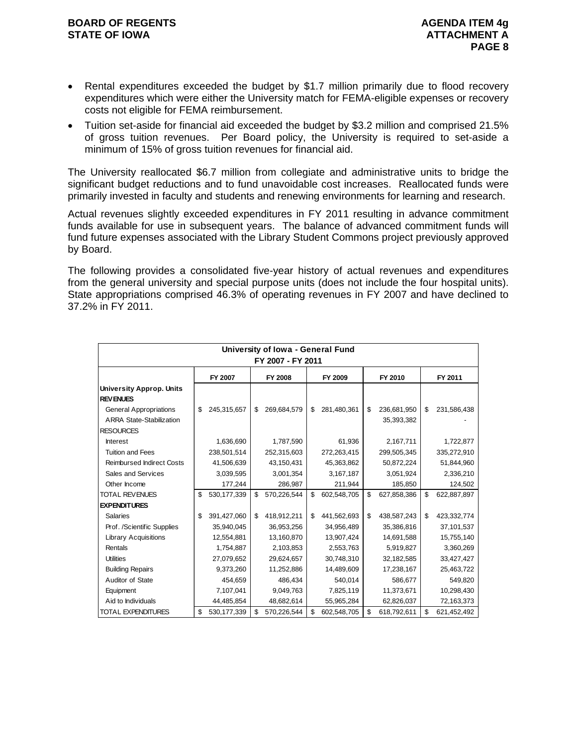- Rental expenditures exceeded the budget by \$1.7 million primarily due to flood recovery expenditures which were either the University match for FEMA-eligible expenses or recovery costs not eligible for FEMA reimbursement.
- Tuition set-aside for financial aid exceeded the budget by \$3.2 million and comprised 21.5% of gross tuition revenues. Per Board policy, the University is required to set-aside a minimum of 15% of gross tuition revenues for financial aid.

The University reallocated \$6.7 million from collegiate and administrative units to bridge the significant budget reductions and to fund unavoidable cost increases. Reallocated funds were primarily invested in faculty and students and renewing environments for learning and research.

Actual revenues slightly exceeded expenditures in FY 2011 resulting in advance commitment funds available for use in subsequent years. The balance of advanced commitment funds will fund future expenses associated with the Library Student Commons project previously approved by Board.

The following provides a consolidated five-year history of actual revenues and expenditures from the general university and special purpose units (does not include the four hospital units). State appropriations comprised 46.3% of operating revenues in FY 2007 and have declined to 37.2% in FY 2011.

|                                                                  |                     | University of Iowa - General Fund<br>FY 2007 - FY 2011 |                   |                                 |                   |
|------------------------------------------------------------------|---------------------|--------------------------------------------------------|-------------------|---------------------------------|-------------------|
|                                                                  | FY 2007             | FY 2008                                                | FY 2009           | FY 2010                         | FY 2011           |
| <b>University Approp. Units</b><br><b>REVENUES</b>               |                     |                                                        |                   |                                 |                   |
| <b>General Appropriations</b><br><b>ARRA State-Stabilization</b> | \$<br>245,315,657   | \$<br>269,684,579                                      | \$<br>281,480,361 | \$<br>236,681,950<br>35,393,382 | \$<br>231,586,438 |
| <b>RESOURCES</b>                                                 |                     |                                                        |                   |                                 |                   |
| <b>Interest</b>                                                  | 1,636,690           | 1,787,590                                              | 61,936            | 2,167,711                       | 1,722,877         |
| <b>Tuition and Fees</b>                                          | 238,501,514         | 252,315,603                                            | 272,263,415       | 299,505,345                     | 335,272,910       |
| <b>Reimbursed Indirect Costs</b>                                 | 41,506,639          | 43,150,431                                             | 45,363,862        | 50,872,224                      | 51,844,960        |
| Sales and Services                                               | 3,039,595           | 3,001,354                                              | 3,167,187         | 3,051,924                       | 2,336,210         |
| Other Income                                                     | 177,244             | 286,987                                                | 211,944           | 185,850                         | 124,502           |
| <b>TOTAL REVENUES</b>                                            | \$<br>530, 177, 339 | \$<br>570,226,544                                      | \$<br>602,548,705 | \$<br>627,858,386               | \$<br>622,887,897 |
| <b>EXPENDITURES</b>                                              |                     |                                                        |                   |                                 |                   |
| <b>Salaries</b>                                                  | \$<br>391,427,060   | \$<br>418,912,211                                      | \$<br>441,562,693 | \$<br>438,587,243               | \$<br>423,332,774 |
| Prof. /Scientific Supplies                                       | 35,940,045          | 36,953,256                                             | 34,956,489        | 35,386,816                      | 37,101,537        |
| <b>Library Acquisitions</b>                                      | 12,554,881          | 13,160,870                                             | 13,907,424        | 14,691,588                      | 15,755,140        |
| Rentals                                                          | 1,754,887           | 2,103,853                                              | 2,553,763         | 5,919,827                       | 3,360,269         |
| <b>Utilities</b>                                                 | 27,079,652          | 29,624,657                                             | 30,748,310        | 32,182,585                      | 33,427,427        |
| <b>Building Repairs</b>                                          | 9,373,260           | 11,252,886                                             | 14,489,609        | 17,238,167                      | 25,463,722        |
| Auditor of State                                                 | 454,659             | 486,434                                                | 540,014           | 586,677                         | 549,820           |
| Equipment                                                        | 7,107,041           | 9,049,763                                              | 7,825,119         | 11,373,671                      | 10,298,430        |
| Aid to Individuals                                               | 44,485,854          | 48,682,614                                             | 55,965,284        | 62,826,037                      | 72,163,373        |
| <b>TOTAL EXPENDITURES</b>                                        | \$<br>530, 177, 339 | \$<br>570,226,544                                      | \$<br>602,548,705 | \$<br>618,792,611               | \$<br>621,452,492 |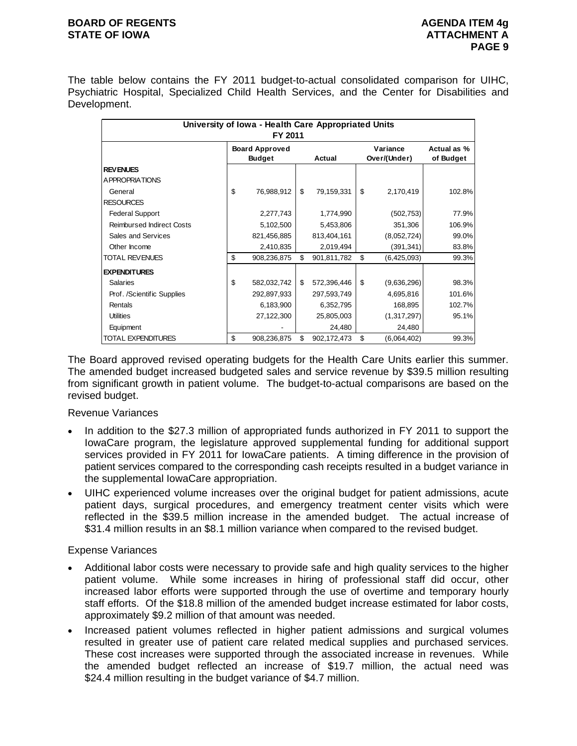## **BOARD OF REGENTS AGENUS AGENDA ITEM 4g STATE OF IOWA ATTACHMENT A**

The table below contains the FY 2011 budget-to-actual consolidated comparison for UIHC, Psychiatric Hospital, Specialized Child Health Services, and the Center for Disabilities and Development.

| University of Iowa - Health Care Appropriated Units |    |                       |    |             |    |              |             |  |  |  |  |  |
|-----------------------------------------------------|----|-----------------------|----|-------------|----|--------------|-------------|--|--|--|--|--|
| FY 2011                                             |    |                       |    |             |    |              |             |  |  |  |  |  |
|                                                     |    | <b>Board Approved</b> |    |             |    | Variance     | Actual as % |  |  |  |  |  |
|                                                     |    | <b>Budget</b>         |    | Actual      |    | Over/(Under) | of Budget   |  |  |  |  |  |
| <b>REVENUES</b>                                     |    |                       |    |             |    |              |             |  |  |  |  |  |
| <b>APPROPRIATIONS</b>                               |    |                       |    |             |    |              |             |  |  |  |  |  |
| General                                             | \$ | 76,988,912            | \$ | 79,159,331  | \$ | 2,170,419    | 102.8%      |  |  |  |  |  |
| <b>RESOURCES</b>                                    |    |                       |    |             |    |              |             |  |  |  |  |  |
| <b>Federal Support</b>                              |    | 2,277,743             |    | 1,774,990   |    | (502, 753)   | 77.9%       |  |  |  |  |  |
| <b>Reimbursed Indirect Costs</b>                    |    | 5,102,500             |    | 5,453,806   |    | 351,306      | 106.9%      |  |  |  |  |  |
| Sales and Services                                  |    | 821,456,885           |    | 813,404,161 |    | (8,052,724)  | 99.0%       |  |  |  |  |  |
| Other Income                                        |    | 2,410,835             |    | 2,019,494   |    | (391, 341)   | 83.8%       |  |  |  |  |  |
| <b>TOTAL REVENUES</b>                               | \$ | 908,236,875           | \$ | 901,811,782 | \$ | (6,425,093)  | 99.3%       |  |  |  |  |  |
| <b>EXPENDITURES</b>                                 |    |                       |    |             |    |              |             |  |  |  |  |  |
| <b>Salaries</b>                                     | \$ | 582,032,742           | \$ | 572,396,446 | \$ | (9,636,296)  | 98.3%       |  |  |  |  |  |
| Prof. /Scientific Supplies                          |    | 292,897,933           |    | 297,593,749 |    | 4,695,816    | 101.6%      |  |  |  |  |  |
| Rentals                                             |    | 6,183,900             |    | 6,352,795   |    | 168,895      | 102.7%      |  |  |  |  |  |
| <b>Utilities</b>                                    |    | 27,122,300            |    | 25,805,003  |    | (1,317,297)  | 95.1%       |  |  |  |  |  |
| Equipment                                           |    |                       |    | 24,480      |    | 24,480       |             |  |  |  |  |  |
| TOTAL EXPENDITURES                                  | \$ | 908,236,875           | \$ | 902,172,473 | \$ | (6,064,402)  | 99.3%       |  |  |  |  |  |

The Board approved revised operating budgets for the Health Care Units earlier this summer. The amended budget increased budgeted sales and service revenue by \$39.5 million resulting from significant growth in patient volume. The budget-to-actual comparisons are based on the revised budget.

Revenue Variances

- In addition to the \$27.3 million of appropriated funds authorized in FY 2011 to support the IowaCare program, the legislature approved supplemental funding for additional support services provided in FY 2011 for IowaCare patients. A timing difference in the provision of patient services compared to the corresponding cash receipts resulted in a budget variance in the supplemental IowaCare appropriation.
- UIHC experienced volume increases over the original budget for patient admissions, acute patient days, surgical procedures, and emergency treatment center visits which were reflected in the \$39.5 million increase in the amended budget. The actual increase of \$31.4 million results in an \$8.1 million variance when compared to the revised budget.

## Expense Variances

- Additional labor costs were necessary to provide safe and high quality services to the higher patient volume. While some increases in hiring of professional staff did occur, other increased labor efforts were supported through the use of overtime and temporary hourly staff efforts. Of the \$18.8 million of the amended budget increase estimated for labor costs, approximately \$9.2 million of that amount was needed.
- Increased patient volumes reflected in higher patient admissions and surgical volumes resulted in greater use of patient care related medical supplies and purchased services. These cost increases were supported through the associated increase in revenues. While the amended budget reflected an increase of \$19.7 million, the actual need was \$24.4 million resulting in the budget variance of \$4.7 million.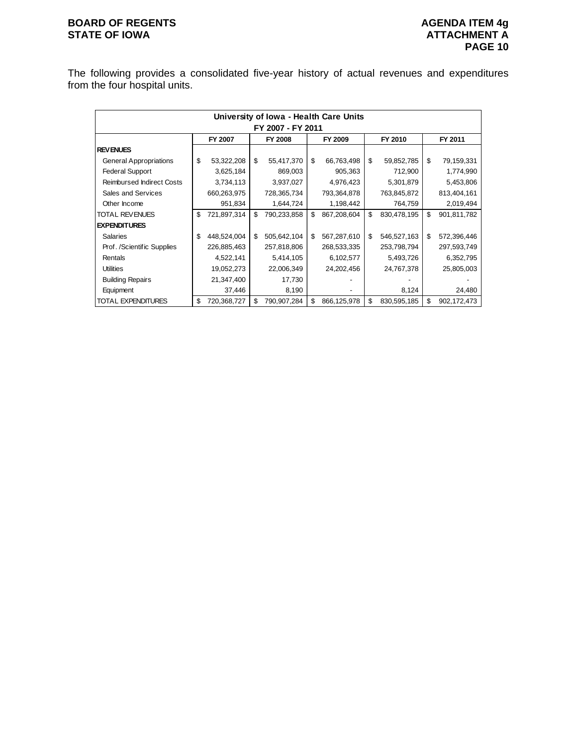# **BOARD OF REGENTS AGENUAL STATE OF IOWA**<br> **BOARD OF IOWA**<br> **ATTACHMENT A**

The following provides a consolidated five-year history of actual revenues and expenditures from the four hospital units.

|                               | University of Iowa - Health Care Units |                                                     |    |             |    |             |    |             |    |             |  |  |
|-------------------------------|----------------------------------------|-----------------------------------------------------|----|-------------|----|-------------|----|-------------|----|-------------|--|--|
| FY 2007 - FY 2011             |                                        |                                                     |    |             |    |             |    |             |    |             |  |  |
|                               |                                        | FY 2011<br>FY 2007<br>FY 2008<br>FY 2009<br>FY 2010 |    |             |    |             |    |             |    |             |  |  |
| <b>REVENUES</b>               |                                        |                                                     |    |             |    |             |    |             |    |             |  |  |
| <b>General Appropriations</b> | \$                                     | 53,322,208                                          | \$ | 55,417,370  | \$ | 66,763,498  | \$ | 59,852,785  | \$ | 79,159,331  |  |  |
| <b>Federal Support</b>        |                                        | 3,625,184                                           |    | 869,003     |    | 905,363     |    | 712,900     |    | 1,774,990   |  |  |
| Reimbursed Indirect Costs     |                                        | 3,734,113                                           |    | 3,937,027   |    | 4,976,423   |    | 5,301,879   |    | 5,453,806   |  |  |
| Sales and Services            |                                        | 660,263,975                                         |    | 728,365,734 |    | 793,364,878 |    | 763,845,872 |    | 813,404,161 |  |  |
| Other Income                  |                                        | 951,834                                             |    | 1,644,724   |    | 1,198,442   |    | 764,759     |    | 2,019,494   |  |  |
| <b>TOTAL REVENUES</b>         | \$                                     | 721,897,314                                         | S  | 790,233,858 | \$ | 867,208,604 | \$ | 830,478,195 | \$ | 901,811,782 |  |  |
| <b>EXPENDITURES</b>           |                                        |                                                     |    |             |    |             |    |             |    |             |  |  |
| <b>Salaries</b>               | \$                                     | 448,524,004                                         | \$ | 505,642,104 | \$ | 567,287,610 | \$ | 546,527,163 | \$ | 572,396,446 |  |  |
| Prof. /Scientific Supplies    |                                        | 226,885,463                                         |    | 257,818,806 |    | 268,533,335 |    | 253,798,794 |    | 297,593,749 |  |  |
| Rentals                       |                                        | 4,522,141                                           |    | 5,414,105   |    | 6,102,577   |    | 5,493,726   |    | 6,352,795   |  |  |
| <b>Utilities</b>              |                                        | 19,052,273                                          |    | 22,006,349  |    | 24,202,456  |    | 24,767,378  |    | 25,805,003  |  |  |
| <b>Building Repairs</b>       |                                        | 21,347,400                                          |    | 17,730      |    |             |    |             |    |             |  |  |
| Equipment                     |                                        | 37,446                                              |    | 8,190       |    |             |    | 8,124       |    | 24,480      |  |  |
| <b>ITOTAL EXPENDITURES</b>    | \$                                     | 720,368,727                                         | \$ | 790,907,284 | \$ | 866,125,978 | \$ | 830,595,185 | \$ | 902,172,473 |  |  |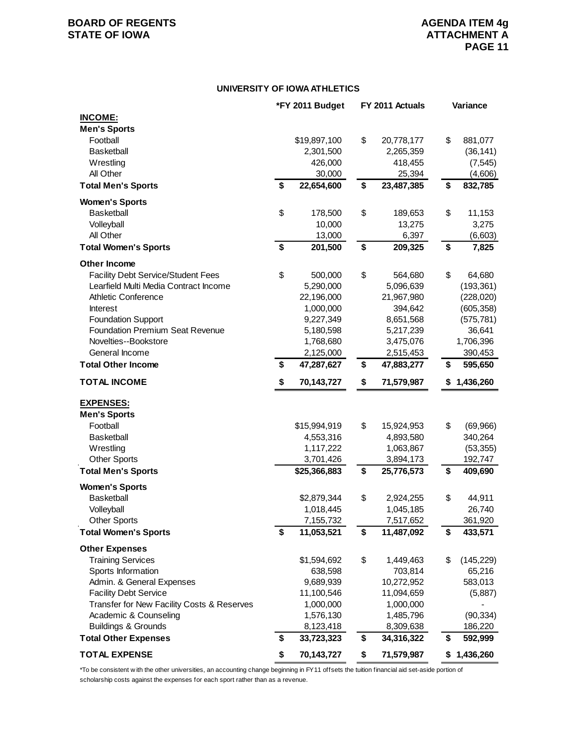## **BOARD OF REGENTS AGENDA ITEM 4g STATE OF IOWA ATTACHMENT A**

#### **UNIVERSITY OF IOWA ATHLETICS**

|                                                               | *FY 2011 Budget               | FY 2011 Actuals               | Variance                 |
|---------------------------------------------------------------|-------------------------------|-------------------------------|--------------------------|
| <b>INCOME:</b>                                                |                               |                               |                          |
| <b>Men's Sports</b>                                           |                               |                               |                          |
| Football                                                      | \$19,897,100                  | \$<br>20,778,177              | \$<br>881,077            |
| <b>Basketball</b>                                             | 2,301,500                     | 2,265,359                     | (36, 141)                |
| Wrestling                                                     | 426,000                       | 418,455                       | (7, 545)                 |
| All Other                                                     | 30,000                        | 25,394                        | (4,606)                  |
| <b>Total Men's Sports</b>                                     | \$<br>22,654,600              | \$<br>23,487,385              | \$<br>832,785            |
| <b>Women's Sports</b>                                         |                               |                               |                          |
| <b>Basketball</b>                                             | \$<br>178,500                 | \$<br>189,653                 | \$<br>11,153             |
| Volleyball                                                    | 10,000                        | 13,275                        | 3,275                    |
| All Other                                                     | 13,000                        | 6,397                         | (6,603)                  |
| <b>Total Women's Sports</b>                                   | \$<br>201,500                 | \$<br>209,325                 | \$<br>7,825              |
| <b>Other Income</b>                                           |                               |                               |                          |
| <b>Facility Debt Service/Student Fees</b>                     | \$<br>500,000                 | \$<br>564,680                 | \$<br>64,680             |
| Learfield Multi Media Contract Income                         | 5,290,000                     | 5,096,639                     | (193, 361)               |
| <b>Athletic Conference</b>                                    | 22,196,000                    | 21,967,980                    | (228, 020)               |
| <b>Interest</b>                                               | 1,000,000                     | 394,642                       | (605, 358)               |
| <b>Foundation Support</b>                                     | 9,227,349                     | 8,651,568                     | (575, 781)               |
| <b>Foundation Premium Seat Revenue</b>                        | 5,180,598                     | 5,217,239                     | 36,641                   |
| Novelties--Bookstore                                          | 1,768,680                     | 3,475,076                     | 1,706,396                |
| General Income                                                | 2,125,000                     | 2,515,453                     | 390,453                  |
| <b>Total Other Income</b>                                     | \$<br>47,287,627              | \$<br>47,883,277              | \$<br>595,650            |
| <b>TOTAL INCOME</b>                                           | \$<br>70,143,727              | \$<br>71,579,987              | \$<br>1,436,260          |
|                                                               |                               |                               |                          |
| <b>EXPENSES:</b>                                              |                               |                               |                          |
| <b>Men's Sports</b>                                           |                               |                               |                          |
| Football                                                      | \$15,994,919                  | \$<br>15,924,953              | \$<br>(69, 966)          |
| <b>Basketball</b>                                             | 4,553,316                     | 4,893,580                     | 340,264                  |
| Wrestling                                                     | 1,117,222                     | 1,063,867                     | (53, 355)                |
| <b>Other Sports</b>                                           | 3,701,426                     | 3,894,173                     | 192,747                  |
| <b>Total Men's Sports</b>                                     | \$25,366,883                  | \$<br>25,776,573              | \$<br>409,690            |
| <b>Women's Sports</b>                                         |                               |                               |                          |
| <b>Basketball</b>                                             | \$2,879,344                   | \$<br>2,924,255               | \$<br>44,911             |
| Volleyball                                                    | 1,018,445                     | 1,045,185                     | 26,740                   |
| <b>Other Sports</b><br><b>Total Women's Sports</b>            | \$<br>7,155,732<br>11,053,521 | \$<br>7,517,652<br>11,487,092 | \$<br>361,920<br>433,571 |
|                                                               |                               |                               |                          |
| <b>Other Expenses</b>                                         |                               |                               |                          |
| <b>Training Services</b>                                      | \$1,594,692                   | \$<br>1,449,463               | \$<br>(145, 229)         |
| Sports Information                                            | 638,598                       | 703,814                       | 65,216                   |
| Admin. & General Expenses                                     | 9,689,939                     | 10,272,952                    | 583,013                  |
| <b>Facility Debt Service</b>                                  | 11,100,546                    | 11,094,659                    | (5,887)                  |
| Transfer for New Facility Costs & Reserves                    | 1,000,000                     | 1,000,000                     |                          |
| Academic & Counseling                                         | 1,576,130                     | 1,485,796                     | (90, 334)                |
| <b>Buildings &amp; Grounds</b><br><b>Total Other Expenses</b> | \$<br>8,123,418               | 8,309,638                     | 186,220                  |
|                                                               | 33,723,323                    | \$<br>34,316,322              | \$<br>592,999            |
| <b>TOTAL EXPENSE</b>                                          | \$<br>70,143,727              | \$<br>71,579,987              | \$1,436,260              |

\*To be consistent w ith the other universities, an accounting change beginning in FY11 offsets the tuition financial aid set-aside portion of scholarship costs against the expenses for each sport rather than as a revenue.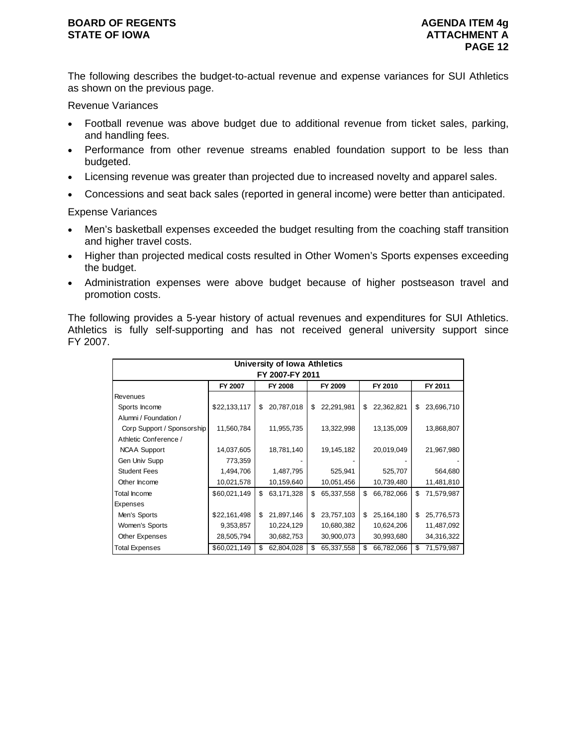The following describes the budget-to-actual revenue and expense variances for SUI Athletics as shown on the previous page.

Revenue Variances

- Football revenue was above budget due to additional revenue from ticket sales, parking, and handling fees.
- Performance from other revenue streams enabled foundation support to be less than budgeted.
- Licensing revenue was greater than projected due to increased novelty and apparel sales.
- Concessions and seat back sales (reported in general income) were better than anticipated.

Expense Variances

- Men's basketball expenses exceeded the budget resulting from the coaching staff transition and higher travel costs.
- Higher than projected medical costs resulted in Other Women's Sports expenses exceeding the budget.
- Administration expenses were above budget because of higher postseason travel and promotion costs.

The following provides a 5-year history of actual revenues and expenditures for SUI Athletics. Athletics is fully self-supporting and has not received general university support since FY 2007.

| University of Iowa Athletics<br>FY 2007-FY 2011 |                                                            |    |            |    |            |    |            |    |            |  |  |  |
|-------------------------------------------------|------------------------------------------------------------|----|------------|----|------------|----|------------|----|------------|--|--|--|
|                                                 | <b>FY 2008</b><br>FY 2009<br>FY 2010<br>FY 2011<br>FY 2007 |    |            |    |            |    |            |    |            |  |  |  |
| Revenues                                        |                                                            |    |            |    |            |    |            |    |            |  |  |  |
| Sports Income                                   | \$22,133,117                                               | \$ | 20,787,018 | \$ | 22,291,981 | \$ | 22,362,821 | \$ | 23,696,710 |  |  |  |
| Alumni / Foundation /                           |                                                            |    |            |    |            |    |            |    |            |  |  |  |
| Corp Support / Sponsorship                      | 11,560,784                                                 |    | 11,955,735 |    | 13,322,998 |    | 13,135,009 |    | 13,868,807 |  |  |  |
| Athletic Conference /                           |                                                            |    |            |    |            |    |            |    |            |  |  |  |
| <b>NCAA Support</b>                             | 14,037,605                                                 |    | 18,781,140 |    | 19,145,182 |    | 20,019,049 |    | 21,967,980 |  |  |  |
| Gen Univ Supp                                   | 773,359                                                    |    |            |    |            |    |            |    |            |  |  |  |
| <b>Student Fees</b>                             | 1,494,706                                                  |    | 1,487,795  |    | 525,941    |    | 525,707    |    | 564,680    |  |  |  |
| Other Income                                    | 10,021,578                                                 |    | 10,159,640 |    | 10,051,456 |    | 10,739,480 |    | 11,481,810 |  |  |  |
| Total Income                                    | \$60,021,149                                               | \$ | 63,171,328 | \$ | 65,337,558 | \$ | 66,782,066 | \$ | 71,579,987 |  |  |  |
| Expenses                                        |                                                            |    |            |    |            |    |            |    |            |  |  |  |
| Men's Sports                                    | \$22,161,498                                               | \$ | 21,897,146 | \$ | 23,757,103 | \$ | 25,164,180 | \$ | 25,776,573 |  |  |  |
| Women's Sports                                  | 9,353,857                                                  |    | 10,224,129 |    | 10,680,382 |    | 10,624,206 |    | 11,487,092 |  |  |  |
| Other Expenses                                  | 28,505,794                                                 |    | 30,682,753 |    | 30,900,073 |    | 30,993,680 |    | 34,316,322 |  |  |  |
| Total Expenses                                  | \$60,021,149                                               | \$ | 62,804,028 | \$ | 65,337,558 | \$ | 66,782,066 | \$ | 71,579,987 |  |  |  |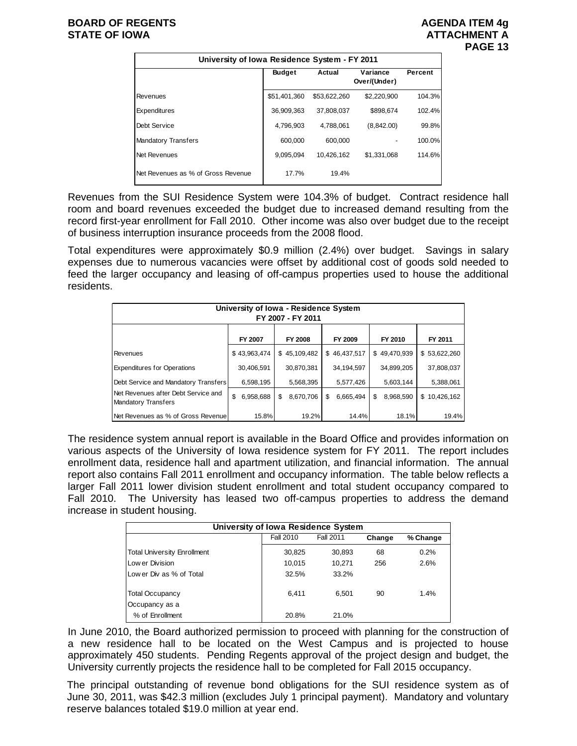## **BOARD OF REGENTS AGENUS AGENDA ITEM 4g STATE OF IOWA ATTACHMENT A**



| University of Iowa Residence System - FY 2011 |               |              |                          |         |  |  |  |  |  |  |
|-----------------------------------------------|---------------|--------------|--------------------------|---------|--|--|--|--|--|--|
|                                               | <b>Budget</b> | Actual       | Variance<br>Over/(Under) | Percent |  |  |  |  |  |  |
| <b>Revenues</b>                               | \$51,401,360  | \$53,622,260 | \$2,220,900              | 104.3%  |  |  |  |  |  |  |
| Expenditures                                  | 36,909,363    | 37.808.037   | \$898.674                | 102.4%  |  |  |  |  |  |  |
| Debt Service                                  | 4,796,903     | 4,788,061    | (8,842.00)               | 99.8%   |  |  |  |  |  |  |
| <b>Mandatory Transfers</b>                    | 600.000       | 600.000      |                          | 100.0%  |  |  |  |  |  |  |
| Net Revenues                                  | 9,095,094     | 10,426,162   | \$1.331.068              | 114.6%  |  |  |  |  |  |  |
| Net Revenues as % of Gross Revenue            | 17.7%         | 19.4%        |                          |         |  |  |  |  |  |  |

Revenues from the SUI Residence System were 104.3% of budget. Contract residence hall room and board revenues exceeded the budget due to increased demand resulting from the record first-year enrollment for Fall 2010. Other income was also over budget due to the receipt of business interruption insurance proceeds from the 2008 flood.

Total expenditures were approximately \$0.9 million (2.4%) over budget. Savings in salary expenses due to numerous vacancies were offset by additional cost of goods sold needed to feed the larger occupancy and leasing of off-campus properties used to house the additional residents.

| University of Iowa - Residence System<br>FY 2007 - FY 2011        |                 |                 |                |                 |              |  |  |  |  |  |
|-------------------------------------------------------------------|-----------------|-----------------|----------------|-----------------|--------------|--|--|--|--|--|
|                                                                   | FY 2007         | FY 2008         | FY 2009        | FY 2010         | FY 2011      |  |  |  |  |  |
| Revenues                                                          | \$43,963,474    | \$45,109,482    | \$46,437,517   | \$49,470,939    | \$53,622,260 |  |  |  |  |  |
| <b>Expenditures for Operations</b>                                | 30,406,591      | 30,870,381      | 34,194,597     | 34,899,205      | 37,808,037   |  |  |  |  |  |
| Debt Service and Mandatory Transfers                              | 6,598,195       | 5,568,395       | 5,577,426      | 5,603,144       | 5,388,061    |  |  |  |  |  |
| Net Revenues after Debt Service and<br><b>Mandatory Transfers</b> | \$<br>6,958,688 | 8.670.706<br>\$ | 6,665,494<br>S | 8,968,590<br>\$ | \$10.426.162 |  |  |  |  |  |
| Net Revenues as % of Gross Revenue                                | 15.8%           | 19.2%           | 14.4%          | 18.1%           | 19.4%        |  |  |  |  |  |

The residence system annual report is available in the Board Office and provides information on various aspects of the University of Iowa residence system for FY 2011. The report includes enrollment data, residence hall and apartment utilization, and financial information. The annual report also contains Fall 2011 enrollment and occupancy information. The table below reflects a larger Fall 2011 lower division student enrollment and total student occupancy compared to Fall 2010. The University has leased two off-campus properties to address the demand increase in student housing.

| University of Iowa Residence System |                  |           |        |          |  |  |  |  |
|-------------------------------------|------------------|-----------|--------|----------|--|--|--|--|
|                                     | <b>Fall 2010</b> | Fall 2011 | Change | % Change |  |  |  |  |
| <b>Total University Enrollment</b>  | 30,825           | 30,893    | 68     | 0.2%     |  |  |  |  |
| Low er Division                     | 10.015           | 10.271    | 256    | 2.6%     |  |  |  |  |
| Low er Div as % of Total            | 32.5%            | 33.2%     |        |          |  |  |  |  |
| <b>Total Occupancy</b>              | 6.411            | 6,501     | 90     | 1.4%     |  |  |  |  |
| Occupancy as a                      |                  |           |        |          |  |  |  |  |
| % of Enrollment                     | 20.8%            | 21.0%     |        |          |  |  |  |  |

In June 2010, the Board authorized permission to proceed with planning for the construction of a new residence hall to be located on the West Campus and is projected to house approximately 450 students. Pending Regents approval of the project design and budget, the University currently projects the residence hall to be completed for Fall 2015 occupancy.

The principal outstanding of revenue bond obligations for the SUI residence system as of June 30, 2011, was \$42.3 million (excludes July 1 principal payment). Mandatory and voluntary reserve balances totaled \$19.0 million at year end.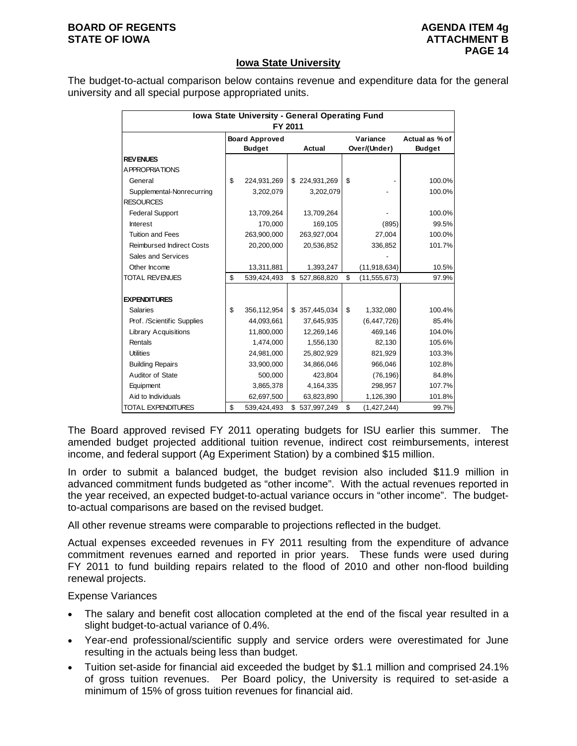#### **BOARD OF REGENTS AGENUS AGENDA ITEM 4g STATE OF IOWA** AND **ATTACHMENT B**

## **Iowa State University**

The budget-to-actual comparison below contains revenue and expenditure data for the general university and all special purpose appropriated units.

| Iowa State University - General Operating Fund<br>FY 2011 |    |                                                  |    |               |                          |                                 |        |  |  |
|-----------------------------------------------------------|----|--------------------------------------------------|----|---------------|--------------------------|---------------------------------|--------|--|--|
|                                                           |    | <b>Board Approved</b><br><b>Budget</b><br>Actual |    |               | Variance<br>Over/(Under) | Actual as % of<br><b>Budget</b> |        |  |  |
| <b>REVENUES</b>                                           |    |                                                  |    |               |                          |                                 |        |  |  |
| A PPROPRIATIONS                                           |    |                                                  |    |               |                          |                                 |        |  |  |
| General                                                   | \$ | 224,931,269                                      |    | \$224,931,269 | \$                       |                                 | 100.0% |  |  |
| Supplemental-Nonrecurring                                 |    | 3,202,079                                        |    | 3,202,079     |                          |                                 | 100.0% |  |  |
| <b>RESOURCES</b>                                          |    |                                                  |    |               |                          |                                 |        |  |  |
| <b>Federal Support</b>                                    |    | 13,709,264                                       |    | 13,709,264    |                          |                                 | 100.0% |  |  |
| <b>Interest</b>                                           |    | 170,000                                          |    | 169,105       |                          | (895)                           | 99.5%  |  |  |
| <b>Tuition and Fees</b>                                   |    | 263,900,000                                      |    | 263,927,004   |                          | 27,004                          | 100.0% |  |  |
| <b>Reimbursed Indirect Costs</b>                          |    | 20,200,000                                       |    | 20,536,852    |                          | 336,852                         | 101.7% |  |  |
| Sales and Services                                        |    |                                                  |    |               |                          |                                 |        |  |  |
| Other Income                                              |    | 13,311,881                                       |    | 1,393,247     |                          | (11, 918, 634)                  | 10.5%  |  |  |
| <b>TOTAL REVENUES</b>                                     | \$ | 539,424,493                                      |    | \$527,868,820 | \$                       | (11, 555, 673)                  | 97.9%  |  |  |
|                                                           |    |                                                  |    |               |                          |                                 |        |  |  |
| <b>EXPENDITURES</b>                                       |    |                                                  |    |               |                          |                                 |        |  |  |
| <b>Salaries</b>                                           | \$ | 356,112,954                                      |    | \$357,445,034 | \$                       | 1,332,080                       | 100.4% |  |  |
| Prof. /Scientific Supplies                                |    | 44,093,661                                       |    | 37,645,935    |                          | (6, 447, 726)                   | 85.4%  |  |  |
| <b>Library Acquisitions</b>                               |    | 11,800,000                                       |    | 12,269,146    |                          | 469,146                         | 104.0% |  |  |
| Rentals                                                   |    | 1,474,000                                        |    | 1,556,130     |                          | 82,130                          | 105.6% |  |  |
| <b>Utilities</b>                                          |    | 24,981,000                                       |    | 25,802,929    |                          | 821,929                         | 103.3% |  |  |
| <b>Building Repairs</b>                                   |    | 33,900,000                                       |    | 34,866,046    |                          | 966,046                         | 102.8% |  |  |
| Auditor of State                                          |    | 500,000                                          |    | 423,804       |                          | (76, 196)                       | 84.8%  |  |  |
| Equipment                                                 |    | 3,865,378                                        |    | 4,164,335     |                          | 298,957                         | 107.7% |  |  |
| Aid to Individuals                                        |    | 62,697,500                                       |    | 63,823,890    |                          | 1,126,390                       | 101.8% |  |  |
| <b>TOTAL EXPENDITURES</b>                                 | \$ | 539,424,493                                      | \$ | 537,997,249   | \$                       | (1,427,244)                     | 99.7%  |  |  |

The Board approved revised FY 2011 operating budgets for ISU earlier this summer. The amended budget projected additional tuition revenue, indirect cost reimbursements, interest income, and federal support (Ag Experiment Station) by a combined \$15 million.

In order to submit a balanced budget, the budget revision also included \$11.9 million in advanced commitment funds budgeted as "other income". With the actual revenues reported in the year received, an expected budget-to-actual variance occurs in "other income". The budgetto-actual comparisons are based on the revised budget.

All other revenue streams were comparable to projections reflected in the budget.

Actual expenses exceeded revenues in FY 2011 resulting from the expenditure of advance commitment revenues earned and reported in prior years. These funds were used during FY 2011 to fund building repairs related to the flood of 2010 and other non-flood building renewal projects.

#### Expense Variances

- The salary and benefit cost allocation completed at the end of the fiscal year resulted in a slight budget-to-actual variance of 0.4%.
- Year-end professional/scientific supply and service orders were overestimated for June resulting in the actuals being less than budget.
- Tuition set-aside for financial aid exceeded the budget by \$1.1 million and comprised 24.1% of gross tuition revenues. Per Board policy, the University is required to set-aside a minimum of 15% of gross tuition revenues for financial aid.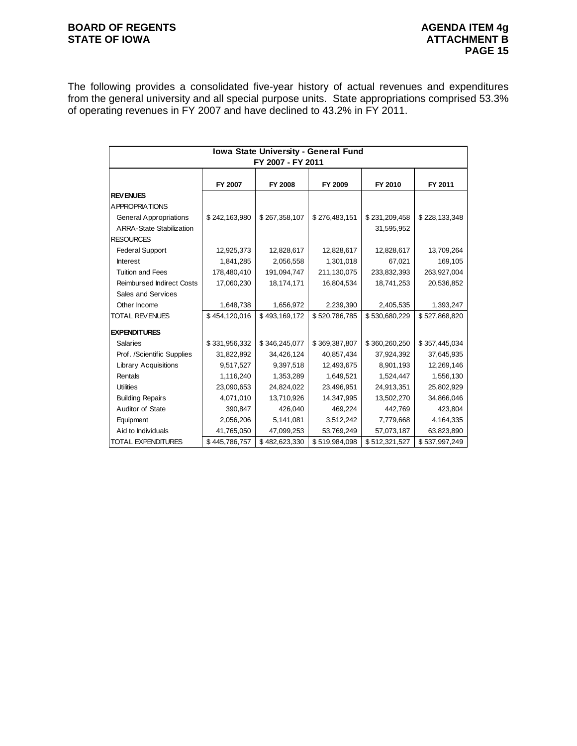## **BOARD OF REGENTS BOARD OF REGENTS** STATE OF IOWA **ATTACHMENT B**

The following provides a consolidated five-year history of actual revenues and expenditures from the general university and all special purpose units. State appropriations comprised 53.3% of operating revenues in FY 2007 and have declined to 43.2% in FY 2011.

| Iowa State University - General Fund<br>FY 2007 - FY 2011 |               |               |               |               |               |  |  |  |
|-----------------------------------------------------------|---------------|---------------|---------------|---------------|---------------|--|--|--|
|                                                           | FY 2007       | FY 2008       | FY 2009       | FY 2010       | FY 2011       |  |  |  |
| <b>REVENUES</b>                                           |               |               |               |               |               |  |  |  |
| <b>APPROPRIATIONS</b>                                     |               |               |               |               |               |  |  |  |
| <b>General Appropriations</b>                             | \$242,163,980 | \$267,358,107 | \$276,483,151 | \$231,209,458 | \$228,133,348 |  |  |  |
| <b>ARRA-State Stabilization</b>                           |               |               |               | 31,595,952    |               |  |  |  |
| <b>RESOURCES</b>                                          |               |               |               |               |               |  |  |  |
| <b>Federal Support</b>                                    | 12,925,373    | 12,828,617    | 12,828,617    | 12,828,617    | 13,709,264    |  |  |  |
| <b>Interest</b>                                           | 1,841,285     | 2,056,558     | 1,301,018     | 67,021        | 169,105       |  |  |  |
| <b>Tuition and Fees</b>                                   | 178,480,410   | 191,094,747   | 211,130,075   | 233,832,393   | 263,927,004   |  |  |  |
| <b>Reimbursed Indirect Costs</b>                          | 17,060,230    | 18,174,171    | 16,804,534    | 18,741,253    | 20,536,852    |  |  |  |
| Sales and Services                                        |               |               |               |               |               |  |  |  |
| Other Income                                              | 1,648,738     | 1,656,972     | 2,239,390     | 2,405,535     | 1,393,247     |  |  |  |
| <b>TOTAL REVENUES</b>                                     | \$454,120,016 | \$493,169,172 | \$520,786,785 | \$530,680,229 | \$527,868,820 |  |  |  |
| <b>EXPENDITURES</b>                                       |               |               |               |               |               |  |  |  |
| <b>Salaries</b>                                           | \$331,956,332 | \$346,245,077 | \$369,387,807 | \$360,260,250 | \$357,445,034 |  |  |  |
| Prof. /Scientific Supplies                                | 31,822,892    | 34,426,124    | 40,857,434    | 37,924,392    | 37,645,935    |  |  |  |
| <b>Library Acquisitions</b>                               | 9,517,527     | 9,397,518     | 12,493,675    | 8,901,193     | 12,269,146    |  |  |  |
| Rentals                                                   | 1,116,240     | 1,353,289     | 1,649,521     | 1,524,447     | 1,556,130     |  |  |  |
| <b>Utilities</b>                                          | 23,090,653    | 24,824,022    | 23,496,951    | 24,913,351    | 25,802,929    |  |  |  |
| <b>Building Repairs</b>                                   | 4,071,010     | 13,710,926    | 14,347,995    | 13,502,270    | 34,866,046    |  |  |  |
| Auditor of State                                          | 390,847       | 426,040       | 469,224       | 442,769       | 423,804       |  |  |  |
| Equipment                                                 | 2,056,206     | 5,141,081     | 3,512,242     | 7,779,668     | 4,164,335     |  |  |  |
| Aid to Individuals                                        | 41,765,050    | 47,099,253    | 53,769,249    | 57,073,187    | 63,823,890    |  |  |  |
| TOTAL EXPENDITURES                                        | \$445,786,757 | \$482,623,330 | \$519,984,098 | \$512,321,527 | \$537,997,249 |  |  |  |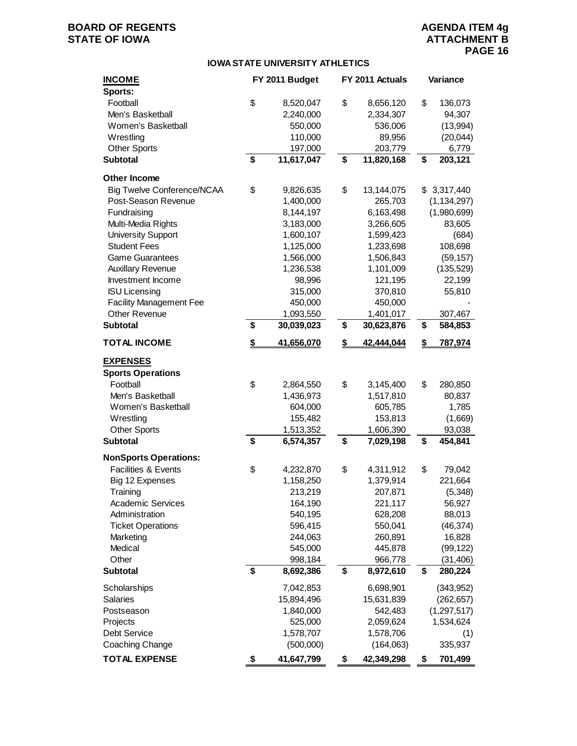# **BOARD OF REGENTS AGENUAL STATE OF IOWA**<br> **BOARD OF IOWA**<br> **BOARD OF IOWA**<br> **ATTACHMENT B**

### **IOWA STATE UNIVERSITY ATHLETICS**

| <b>INCOME</b><br>Sports:       | FY 2011 Budget   | FY 2011 Actuals  | Variance      |
|--------------------------------|------------------|------------------|---------------|
| Football                       | \$<br>8,520,047  | \$<br>8,656,120  | \$<br>136,073 |
| Men's Basketball               | 2,240,000        | 2,334,307        | 94,307        |
| Women's Basketball             | 550,000          | 536,006          | (13,994)      |
| Wrestling                      | 110,000          | 89,956           | (20, 044)     |
| <b>Other Sports</b>            | 197,000          | 203,779          | 6,779         |
| <b>Subtotal</b>                | \$<br>11,617,047 | \$<br>11,820,168 | \$<br>203,121 |
| Other Income                   |                  |                  |               |
| Big Twelve Conference/NCAA     | \$<br>9,826,635  | \$<br>13,144,075 | \$3,317,440   |
| Post-Season Revenue            | 1,400,000        | 265,703          | (1, 134, 297) |
| Fundraising                    | 8,144,197        | 6,163,498        | (1,980,699)   |
| Multi-Media Rights             | 3,183,000        | 3,266,605        | 83,605        |
| <b>University Support</b>      | 1,600,107        | 1,599,423        | (684)         |
| <b>Student Fees</b>            | 1,125,000        | 1,233,698        | 108,698       |
| <b>Game Guarantees</b>         | 1,566,000        | 1,506,843        | (59, 157)     |
| <b>Auxillary Revenue</b>       | 1,236,538        | 1,101,009        | (135, 529)    |
| Investment Income              | 98,996           | 121,195          | 22,199        |
| <b>ISU Licensing</b>           | 315,000          | 370,810          | 55,810        |
| <b>Facility Management Fee</b> | 450,000          | 450,000          |               |
| <b>Other Revenue</b>           | 1,093,550        | 1,401,017        | 307,467       |
| <b>Subtotal</b>                | \$<br>30,039,023 | \$<br>30,623,876 | \$<br>584,853 |
| <b>TOTAL INCOME</b>            | \$<br>41,656,070 | \$<br>42,444,044 | \$<br>787,974 |
| <b>EXPENSES</b>                |                  |                  |               |
| <b>Sports Operations</b>       |                  |                  |               |
| Football                       | \$<br>2,864,550  | \$<br>3,145,400  | \$<br>280,850 |
| Men's Basketball               | 1,436,973        | 1,517,810        | 80,837        |
| Women's Basketball             | 604,000          | 605,785          | 1,785         |
| Wrestling                      | 155,482          | 153,813          | (1,669)       |
| <b>Other Sports</b>            | 1,513,352        | 1,606,390        | 93,038        |
| <b>Subtotal</b>                | \$<br>6,574,357  | \$<br>7,029,198  | \$<br>454,841 |
| <b>NonSports Operations:</b>   |                  |                  |               |
| Facilities & Events            | \$<br>4,232,870  | \$<br>4,311,912  | \$<br>79,042  |
| Big 12 Expenses                | 1,158,250        | 1,379,914        | 221,664       |
| Training                       | 213,219          | 207,871          | (5, 348)      |
| <b>Academic Services</b>       | 164,190          | 221,117          | 56,927        |
| Administration                 | 540,195          | 628,208          | 88,013        |
| <b>Ticket Operations</b>       | 596,415          | 550,041          | (46, 374)     |
| Marketing                      | 244,063          | 260,891          | 16,828        |
| Medical                        | 545,000          | 445,878          | (99, 122)     |
| Other                          | 998,184          | 966,778          | (31, 406)     |
| <b>Subtotal</b>                | \$<br>8,692,386  | \$<br>8,972,610  | \$<br>280,224 |
| Scholarships                   | 7,042,853        | 6,698,901        | (343,952)     |
| <b>Salaries</b>                | 15,894,496       | 15,631,839       | (262, 657)    |
| Postseason                     | 1,840,000        | 542,483          | (1, 297, 517) |
| Projects                       | 525,000          | 2,059,624        | 1,534,624     |
| Debt Service                   | 1,578,707        | 1,578,706        | (1)           |
| Coaching Change                | (500,000)        | (164,063)        | 335,937       |
| <b>TOTAL EXPENSE</b>           | \$<br>41,647,799 | \$<br>42,349,298 | \$<br>701,499 |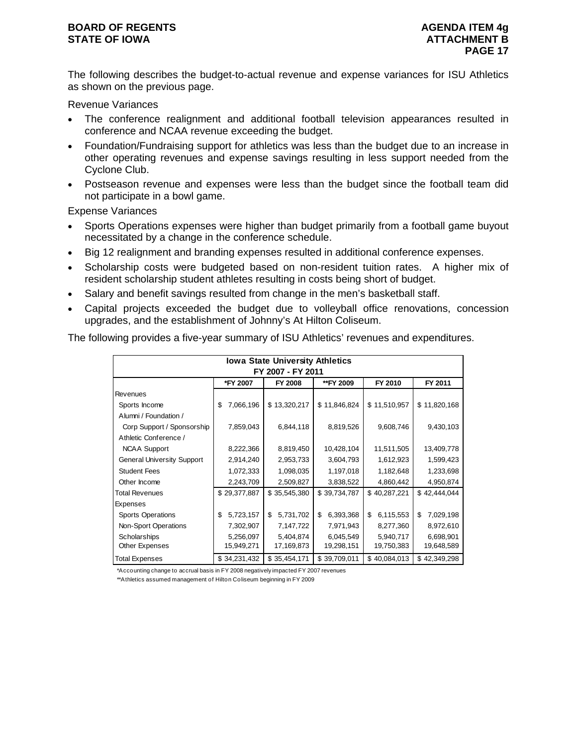### **BOARD OF REGENTS AGENUS AGENDA ITEM 4g STATE OF IOWA** AND **ATTACHMENT B**

The following describes the budget-to-actual revenue and expense variances for ISU Athletics as shown on the previous page.

Revenue Variances

- The conference realignment and additional football television appearances resulted in conference and NCAA revenue exceeding the budget.
- Foundation/Fundraising support for athletics was less than the budget due to an increase in other operating revenues and expense savings resulting in less support needed from the Cyclone Club.
- Postseason revenue and expenses were less than the budget since the football team did not participate in a bowl game.

Expense Variances

- Sports Operations expenses were higher than budget primarily from a football game buyout necessitated by a change in the conference schedule.
- Big 12 realignment and branding expenses resulted in additional conference expenses.
- Scholarship costs were budgeted based on non-resident tuition rates. A higher mix of resident scholarship student athletes resulting in costs being short of budget.
- Salary and benefit savings resulted from change in the men's basketball staff.
- Capital projects exceeded the budget due to volleyball office renovations, concession upgrades, and the establishment of Johnny's At Hilton Coliseum.

The following provides a five-year summary of ISU Athletics' revenues and expenditures.

| <b>Iowa State University Athletics</b> |                 |                 |                 |                 |                 |  |  |  |  |
|----------------------------------------|-----------------|-----------------|-----------------|-----------------|-----------------|--|--|--|--|
| FY 2007 - FY 2011                      |                 |                 |                 |                 |                 |  |  |  |  |
|                                        | *FY 2007        | FY 2008         | **FY 2009       | FY 2010         | FY 2011         |  |  |  |  |
| Revenues                               |                 |                 |                 |                 |                 |  |  |  |  |
| Sports Income                          | 7,066,196<br>\$ | \$13,320,217    | \$11,846,824    | \$11,510,957    | \$11,820,168    |  |  |  |  |
| Alumni / Foundation /                  |                 |                 |                 |                 |                 |  |  |  |  |
| Corp Support / Sponsorship             | 7,859,043       | 6,844,118       | 8,819,526       | 9,608,746       | 9,430,103       |  |  |  |  |
| Athletic Conference /                  |                 |                 |                 |                 |                 |  |  |  |  |
| <b>NCAA Support</b>                    | 8,222,366       | 8,819,450       | 10,428,104      | 11,511,505      | 13,409,778      |  |  |  |  |
| <b>General University Support</b>      | 2,914,240       | 2,953,733       | 3,604,793       | 1,612,923       | 1,599,423       |  |  |  |  |
| <b>Student Fees</b>                    | 1,072,333       | 1,098,035       | 1,197,018       | 1,182,648       | 1,233,698       |  |  |  |  |
| Other Income                           | 2,243,709       | 2,509,827       | 3,838,522       | 4,860,442       | 4,950,874       |  |  |  |  |
| <b>Total Revenues</b>                  | \$29,377,887    | \$35,545,380    | \$39,734,787    | \$40,287,221    | \$42,444,044    |  |  |  |  |
| Expenses                               |                 |                 |                 |                 |                 |  |  |  |  |
| <b>Sports Operations</b>               | 5,723,157<br>\$ | \$<br>5,731,702 | 6,393,368<br>\$ | \$<br>6,115,553 | 7,029,198<br>\$ |  |  |  |  |
| Non-Sport Operations                   | 7,302,907       | 7,147,722       | 7,971,943       | 8,277,360       | 8,972,610       |  |  |  |  |
| Scholarships                           | 5,256,097       | 5,404,874       | 6,045,549       | 5,940,717       | 6,698,901       |  |  |  |  |
| Other Expenses                         | 15,949,271      | 17,169,873      | 19,298,151      | 19,750,383      | 19,648,589      |  |  |  |  |
| <b>Total Expenses</b>                  | \$34,231,432    | \$35,454,171    | \$39,709,011    | \$40,084,013    | \$42,349,298    |  |  |  |  |

\*Accounting change to accrual basis in FY 2008 negatively impacted FY 2007 revenues

\*\*Athletics assumed management of Hilton Coliseum beginning in FY 2009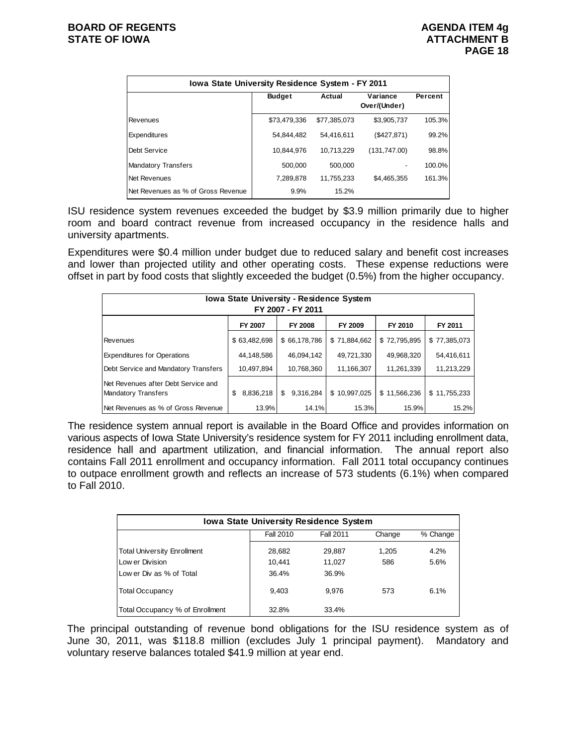| Iowa State University Residence System - FY 2011 |               |              |                          |         |  |  |  |  |  |
|--------------------------------------------------|---------------|--------------|--------------------------|---------|--|--|--|--|--|
|                                                  | <b>Budget</b> | Actual       | Variance<br>Over/(Under) | Percent |  |  |  |  |  |
| Revenues                                         | \$73,479,336  | \$77.385.073 | \$3,905,737              | 105.3%  |  |  |  |  |  |
| Expenditures                                     | 54,844,482    | 54,416,611   | (\$427,871)              | 99.2%   |  |  |  |  |  |
| Debt Service                                     | 10,844,976    | 10.713.229   | (131,747.00)             | 98.8%   |  |  |  |  |  |
| <b>Mandatory Transfers</b>                       | 500,000       | 500.000      |                          | 100.0%  |  |  |  |  |  |
| Net Revenues                                     | 7,289,878     | 11,755,233   | \$4,465,355              | 161.3%  |  |  |  |  |  |
| Net Revenues as % of Gross Revenue               | 9.9%          | 15.2%        |                          |         |  |  |  |  |  |

ISU residence system revenues exceeded the budget by \$3.9 million primarily due to higher room and board contract revenue from increased occupancy in the residence halls and university apartments.

Expenditures were \$0.4 million under budget due to reduced salary and benefit cost increases and lower than projected utility and other operating costs. These expense reductions were offset in part by food costs that slightly exceeded the budget (0.5%) from the higher occupancy.

| <b>Iowa State University - Residence System</b><br>FY 2007 - FY 2011 |                 |                 |              |              |              |  |  |  |  |
|----------------------------------------------------------------------|-----------------|-----------------|--------------|--------------|--------------|--|--|--|--|
|                                                                      | FY 2007         | FY 2008         | FY 2009      | FY 2010      | FY 2011      |  |  |  |  |
| Revenues                                                             | \$63,482,698    | \$66,178,786    | \$71,884,662 | \$72,795,895 | \$77,385,073 |  |  |  |  |
| <b>Expenditures for Operations</b>                                   | 44,148,586      | 46,094,142      | 49,721,330   | 49,968,320   | 54,416,611   |  |  |  |  |
| Debt Service and Mandatory Transfers                                 | 10,497,894      | 10,768,360      | 11,166,307   | 11,261,339   | 11,213,229   |  |  |  |  |
| Net Revenues after Debt Service and<br><b>Mandatory Transfers</b>    | 8,836,218<br>\$ | 9,316,284<br>\$ | \$10,997,025 | \$11,566,236 | \$11,755,233 |  |  |  |  |
| Net Revenues as % of Gross Revenue                                   | 13.9%           | 14.1%           | 15.3%        | 15.9%        | 15.2%        |  |  |  |  |

The residence system annual report is available in the Board Office and provides information on various aspects of Iowa State University's residence system for FY 2011 including enrollment data, residence hall and apartment utilization, and financial information. The annual report also contains Fall 2011 enrollment and occupancy information. Fall 2011 total occupancy continues to outpace enrollment growth and reflects an increase of 573 students (6.1%) when compared to Fall 2010.

| <b>Iowa State University Residence System</b> |                  |           |        |          |  |  |  |  |
|-----------------------------------------------|------------------|-----------|--------|----------|--|--|--|--|
|                                               | <b>Fall 2010</b> | Fall 2011 | Change | % Change |  |  |  |  |
| <b>Total University Enrollment</b>            | 28,682           | 29,887    | 1.205  | 4.2%     |  |  |  |  |
| Low er Division                               | 10.441           | 11.027    | 586    | 5.6%     |  |  |  |  |
| Low er Div as % of Total                      | 36.4%            | 36.9%     |        |          |  |  |  |  |
| <b>Total Occupancy</b>                        | 9.403            | 9.976     | 573    | 6.1%     |  |  |  |  |
| Total Occupancy % of Enrollment               | 32.8%            | 33.4%     |        |          |  |  |  |  |

The principal outstanding of revenue bond obligations for the ISU residence system as of June 30, 2011, was \$118.8 million (excludes July 1 principal payment). Mandatory and voluntary reserve balances totaled \$41.9 million at year end.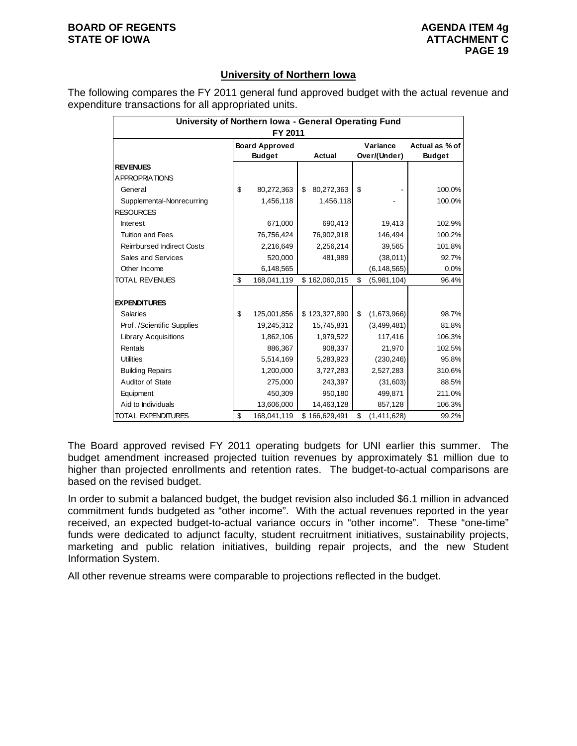#### **BOARD OF REGENTS AGENUS AGENDA ITEM 4g STATE OF IOWA ATTACHMENT C**

## **University of Northern Iowa**

The following compares the FY 2011 general fund approved budget with the actual revenue and expenditure transactions for all appropriated units.

| University of Northern Iowa - General Operating Fund<br>FY 2011 |    |                                        |    |               |    |                          |                                 |  |  |
|-----------------------------------------------------------------|----|----------------------------------------|----|---------------|----|--------------------------|---------------------------------|--|--|
|                                                                 |    | <b>Board Approved</b><br><b>Budget</b> |    | Actual        |    | Variance<br>Over/(Under) | Actual as % of<br><b>Budget</b> |  |  |
| <b>REV ENUES</b>                                                |    |                                        |    |               |    |                          |                                 |  |  |
| A PPROPRIATIONS                                                 |    |                                        |    |               |    |                          |                                 |  |  |
| General                                                         | \$ | 80,272,363                             | \$ | 80,272,363    | \$ |                          | 100.0%                          |  |  |
| Supplemental-Nonrecurring                                       |    | 1,456,118                              |    | 1,456,118     |    |                          | 100.0%                          |  |  |
| <b>RESOURCES</b>                                                |    |                                        |    |               |    |                          |                                 |  |  |
| <b>Interest</b>                                                 |    | 671,000                                |    | 690,413       |    | 19,413                   | 102.9%                          |  |  |
| <b>Tuition and Fees</b>                                         |    | 76,756,424                             |    | 76,902,918    |    | 146,494                  | 100.2%                          |  |  |
| <b>Reimbursed Indirect Costs</b>                                |    | 2,216,649                              |    | 2,256,214     |    | 39,565                   | 101.8%                          |  |  |
| Sales and Services                                              |    | 520,000                                |    | 481,989       |    | (38,011)                 | 92.7%                           |  |  |
| Other Income                                                    |    | 6,148,565                              |    |               |    | (6, 148, 565)            | 0.0%                            |  |  |
| <b>TOTAL REVENUES</b>                                           | \$ | 168,041,119                            |    | \$162,060,015 | \$ | (5,981,104)              | 96.4%                           |  |  |
| <b>EXPENDITURES</b>                                             |    |                                        |    |               |    |                          |                                 |  |  |
| <b>Salaries</b>                                                 | \$ | 125,001,856                            |    | \$123,327,890 | \$ | (1,673,966)              | 98.7%                           |  |  |
| Prof. /Scientific Supplies                                      |    | 19,245,312                             |    | 15,745,831    |    | (3,499,481)              | 81.8%                           |  |  |
| <b>Library Acquisitions</b>                                     |    | 1,862,106                              |    | 1,979,522     |    | 117,416                  | 106.3%                          |  |  |
| Rentals                                                         |    | 886,367                                |    | 908,337       |    | 21,970                   | 102.5%                          |  |  |
| <b>Utilities</b>                                                |    | 5,514,169                              |    | 5,283,923     |    | (230, 246)               | 95.8%                           |  |  |
| <b>Building Repairs</b>                                         |    | 1,200,000                              |    | 3,727,283     |    | 2,527,283                | 310.6%                          |  |  |
| Auditor of State                                                |    | 275,000                                |    | 243,397       |    | (31,603)                 | 88.5%                           |  |  |
| Equipment                                                       |    | 450,309                                |    | 950,180       |    | 499,871                  | 211.0%                          |  |  |
| Aid to Individuals                                              |    | 13,606,000                             |    | 14,463,128    |    | 857,128                  | 106.3%                          |  |  |
| TOTAL EXPENDITURES                                              | \$ | 168,041,119                            |    | \$166,629,491 | \$ | (1,411,628)              | 99.2%                           |  |  |

The Board approved revised FY 2011 operating budgets for UNI earlier this summer. The budget amendment increased projected tuition revenues by approximately \$1 million due to higher than projected enrollments and retention rates. The budget-to-actual comparisons are based on the revised budget.

In order to submit a balanced budget, the budget revision also included \$6.1 million in advanced commitment funds budgeted as "other income". With the actual revenues reported in the year received, an expected budget-to-actual variance occurs in "other income". These "one-time" funds were dedicated to adjunct faculty, student recruitment initiatives, sustainability projects, marketing and public relation initiatives, building repair projects, and the new Student Information System.

All other revenue streams were comparable to projections reflected in the budget.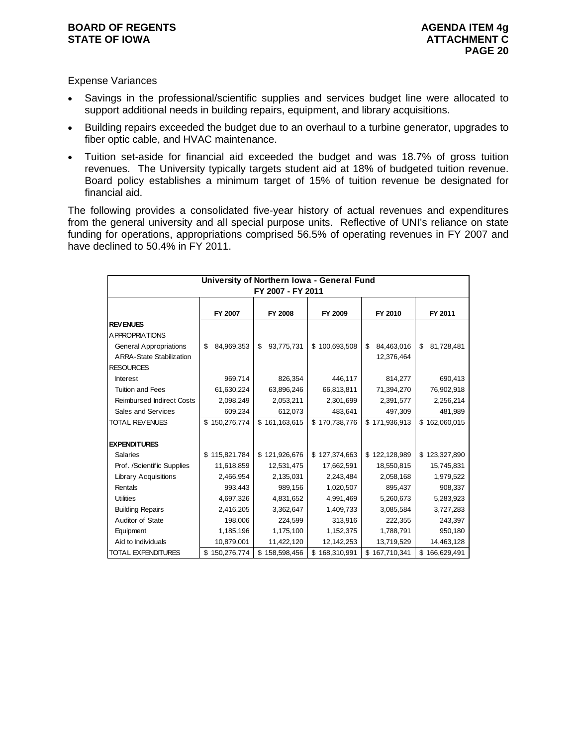#### **BOARD OF REGENTS AGENUS AGENDA ITEM 4g STATE OF IOWA ATTACHMENT C**

## Expense Variances

- Savings in the professional/scientific supplies and services budget line were allocated to support additional needs in building repairs, equipment, and library acquisitions.
- Building repairs exceeded the budget due to an overhaul to a turbine generator, upgrades to fiber optic cable, and HVAC maintenance.
- Tuition set-aside for financial aid exceeded the budget and was 18.7% of gross tuition revenues. The University typically targets student aid at 18% of budgeted tuition revenue. Board policy establishes a minimum target of 15% of tuition revenue be designated for financial aid.

The following provides a consolidated five-year history of actual revenues and expenditures from the general university and all special purpose units. Reflective of UNI's reliance on state funding for operations, appropriations comprised 56.5% of operating revenues in FY 2007 and have declined to 50.4% in FY 2011.

| University of Northern Iowa - General Fund<br>FY 2007 - FY 2011 |                  |                   |               |                  |                   |  |  |  |
|-----------------------------------------------------------------|------------------|-------------------|---------------|------------------|-------------------|--|--|--|
|                                                                 | FY 2007          | FY 2008           | FY 2009       | FY 2010          | FY 2011           |  |  |  |
| <b>REV ENUES</b>                                                |                  |                   |               |                  |                   |  |  |  |
| <b>APPROPRIATIONS</b>                                           |                  |                   |               |                  |                   |  |  |  |
| <b>General Appropriations</b>                                   | \$<br>84,969,353 | \$<br>93,775,731  | \$100,693,508 | \$<br>84,463,016 | \$<br>81,728,481  |  |  |  |
| <b>ARRA-State Stabilization</b>                                 |                  |                   |               | 12,376,464       |                   |  |  |  |
| <b>RESOURCES</b>                                                |                  |                   |               |                  |                   |  |  |  |
| <b>Interest</b>                                                 | 969,714          | 826,354           | 446,117       | 814,277          | 690,413           |  |  |  |
| <b>Tuition and Fees</b>                                         | 61,630,224       | 63,896,246        | 66,813,811    | 71,394,270       | 76,902,918        |  |  |  |
| <b>Reimbursed Indirect Costs</b>                                | 2,098,249        | 2,053,211         | 2,301,699     | 2,391,577        | 2,256,214         |  |  |  |
| Sales and Services                                              | 609,234          | 612,073           | 483,641       | 497,309          | 481,989           |  |  |  |
| <b>TOTAL REVENUES</b>                                           | \$150,276,774    | \$161,163,615     | \$170,738,776 | \$171,936,913    | \$162,060,015     |  |  |  |
|                                                                 |                  |                   |               |                  |                   |  |  |  |
| <b>EXPENDITURES</b>                                             |                  |                   |               |                  |                   |  |  |  |
| <b>Salaries</b>                                                 | \$115,821,784    | \$121,926,676     | \$127,374,663 | \$122,128,989    | \$123,327,890     |  |  |  |
| Prof. /Scientific Supplies                                      | 11,618,859       | 12,531,475        | 17,662,591    | 18,550,815       | 15,745,831        |  |  |  |
| <b>Library Acquisitions</b>                                     | 2,466,954        | 2,135,031         | 2,243,484     | 2,058,168        | 1,979,522         |  |  |  |
| Rentals                                                         | 993,443          | 989,156           | 1,020,507     | 895,437          | 908,337           |  |  |  |
| <b>Utilities</b>                                                | 4,697,326        | 4,831,652         | 4,991,469     | 5,260,673        | 5,283,923         |  |  |  |
| <b>Building Repairs</b>                                         | 2,416,205        | 3,362,647         | 1,409,733     | 3,085,584        | 3,727,283         |  |  |  |
| Auditor of State                                                | 198,006          | 224,599           | 313,916       | 222,355          | 243,397           |  |  |  |
| Equipment                                                       | 1,185,196        | 1,175,100         | 1,152,375     | 1,788,791        | 950,180           |  |  |  |
| Aid to Individuals                                              | 10,879,001       | 11,422,120        | 12,142,253    | 13,719,529       | 14,463,128        |  |  |  |
| <b>TOTAL EXPENDITURES</b>                                       | \$150,276,774    | \$<br>158,598,456 | \$168,310,991 | \$167,710,341    | \$<br>166,629,491 |  |  |  |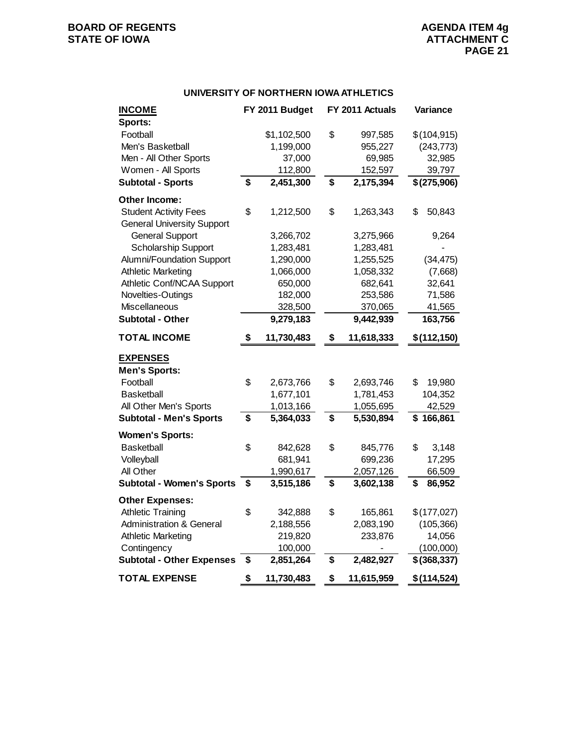#### **UNIVERSITY OF NORTHERN IOWA ATHLETICS**

| <b>INCOME</b>                       | FY 2011 Budget   | FY 2011 Actuals  | Variance     |
|-------------------------------------|------------------|------------------|--------------|
| Sports:                             |                  |                  |              |
| Football                            | \$1,102,500      | \$<br>997,585    | \$(104, 915) |
| Men's Basketball                    | 1,199,000        | 955,227          | (243, 773)   |
| Men - All Other Sports              | 37,000           | 69,985           | 32,985       |
| Women - All Sports                  | 112,800          | 152,597          | 39,797       |
| <b>Subtotal - Sports</b>            | \$<br>2,451,300  | \$<br>2,175,394  | \$(275,906)  |
| Other Income:                       |                  |                  |              |
| <b>Student Activity Fees</b>        | \$<br>1,212,500  | \$<br>1,263,343  | \$<br>50,843 |
| <b>General University Support</b>   |                  |                  |              |
| <b>General Support</b>              | 3,266,702        | 3,275,966        | 9,264        |
| <b>Scholarship Support</b>          | 1,283,481        | 1,283,481        |              |
| Alumni/Foundation Support           | 1,290,000        | 1,255,525        | (34, 475)    |
| <b>Athletic Marketing</b>           | 1,066,000        | 1,058,332        | (7,668)      |
| Athletic Conf/NCAA Support          | 650,000          | 682,641          | 32,641       |
| Novelties-Outings                   | 182,000          | 253,586          | 71,586       |
| Miscellaneous                       | 328,500          | 370,065          | 41,565       |
| <b>Subtotal - Other</b>             | 9,279,183        | 9,442,939        | 163,756      |
| <b>TOTAL INCOME</b>                 | \$<br>11,730,483 | \$<br>11,618,333 | \$(112,150)  |
| <b>EXPENSES</b>                     |                  |                  |              |
| <b>Men's Sports:</b>                |                  |                  |              |
| Football                            | \$<br>2,673,766  | \$<br>2,693,746  | \$<br>19,980 |
| <b>Basketball</b>                   | 1,677,101        | 1,781,453        | 104,352      |
| All Other Men's Sports              | 1,013,166        | 1,055,695        | 42,529       |
| <b>Subtotal - Men's Sports</b>      | \$<br>5,364,033  | \$<br>5,530,894  | \$166,861    |
| <b>Women's Sports:</b>              |                  |                  |              |
| <b>Basketball</b>                   | \$<br>842,628    | \$<br>845,776    | \$<br>3,148  |
| Volleyball                          | 681,941          | 699,236          | 17,295       |
| All Other                           | 1,990,617        | 2,057,126        | 66,509       |
| <b>Subtotal - Women's Sports</b>    | \$<br>3,515,186  | \$<br>3,602,138  | \$<br>86,952 |
| <b>Other Expenses:</b>              |                  |                  |              |
| <b>Athletic Training</b>            | \$<br>342,888    | \$<br>165,861    | \$(177,027)  |
| <b>Administration &amp; General</b> | 2,188,556        | 2,083,190        | (105, 366)   |
| <b>Athletic Marketing</b>           | 219,820          | 233,876          | 14,056       |
| Contingency                         | 100,000          |                  | (100,000)    |
| <b>Subtotal - Other Expenses</b>    | \$<br>2,851,264  | \$<br>2,482,927  | \$(368, 337) |
| <b>TOTAL EXPENSE</b>                | \$<br>11,730,483 | \$<br>11,615,959 | \$(114, 524) |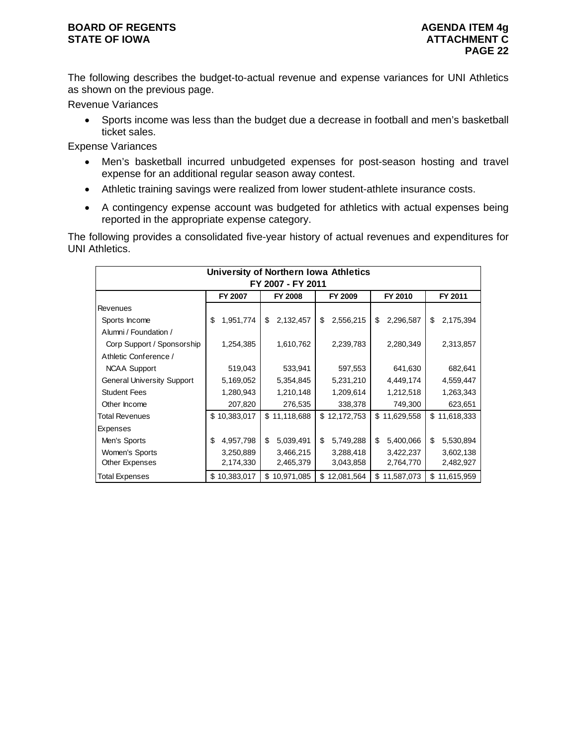## **BOARD OF REGENTS AGENDA ITEM 4g STATE OF IOWA ATTACHMENT C**

The following describes the budget-to-actual revenue and expense variances for UNI Athletics as shown on the previous page.

Revenue Variances

• Sports income was less than the budget due a decrease in football and men's basketball ticket sales.

Expense Variances

- Men's basketball incurred unbudgeted expenses for post-season hosting and travel expense for an additional regular season away contest.
- Athletic training savings were realized from lower student-athlete insurance costs.
- A contingency expense account was budgeted for athletics with actual expenses being reported in the appropriate expense category.

The following provides a consolidated five-year history of actual revenues and expenditures for UNI Athletics.

| University of Northern Iowa Athletics<br>FY 2007 - FY 2011 |                 |                  |                 |                 |                  |  |  |  |  |  |
|------------------------------------------------------------|-----------------|------------------|-----------------|-----------------|------------------|--|--|--|--|--|
| FY 2009<br>FY 2010<br>FY 2011<br>FY 2007<br><b>FY 2008</b> |                 |                  |                 |                 |                  |  |  |  |  |  |
| Revenues                                                   |                 |                  |                 |                 |                  |  |  |  |  |  |
| Sports Income                                              | 1,951,774<br>\$ | \$<br>2,132,457  | 2,556,215<br>\$ | \$<br>2,296,587 | 2,175,394<br>\$  |  |  |  |  |  |
| Alumni / Foundation /                                      |                 |                  |                 |                 |                  |  |  |  |  |  |
| Corp Support / Sponsorship                                 | 1,254,385       | 1,610,762        | 2,239,783       | 2,280,349       | 2,313,857        |  |  |  |  |  |
| Athletic Conference /                                      |                 |                  |                 |                 |                  |  |  |  |  |  |
| <b>NCAA Support</b>                                        | 519,043         | 533,941          | 597,553         | 641,630         | 682,641          |  |  |  |  |  |
| <b>General University Support</b>                          | 5,169,052       | 5,354,845        | 5,231,210       | 4,449,174       | 4,559,447        |  |  |  |  |  |
| <b>Student Fees</b>                                        | 1,280,943       | 1,210,148        | 1,209,614       | 1,212,518       | 1,263,343        |  |  |  |  |  |
| Other Income                                               | 207,820         | 276,535          | 338,378         | 749,300         | 623,651          |  |  |  |  |  |
| <b>Total Revenues</b>                                      | \$10,383,017    | \$11,118,688     | \$12,172,753    | \$11,629,558    | \$11,618,333     |  |  |  |  |  |
| Expenses                                                   |                 |                  |                 |                 |                  |  |  |  |  |  |
| Men's Sports                                               | \$<br>4,957,798 | \$<br>5,039,491  | \$<br>5,749,288 | \$<br>5,400,066 | \$<br>5,530,894  |  |  |  |  |  |
| Women's Sports                                             | 3,250,889       | 3,466,215        | 3,288,418       | 3,422,237       | 3,602,138        |  |  |  |  |  |
| Other Expenses                                             | 2,174,330       | 2,465,379        | 3,043,858       | 2,764,770       | 2,482,927        |  |  |  |  |  |
| <b>Total Expenses</b>                                      | \$10,383,017    | 10,971,085<br>\$ | \$12,081,564    | \$11,587,073    | 11,615,959<br>\$ |  |  |  |  |  |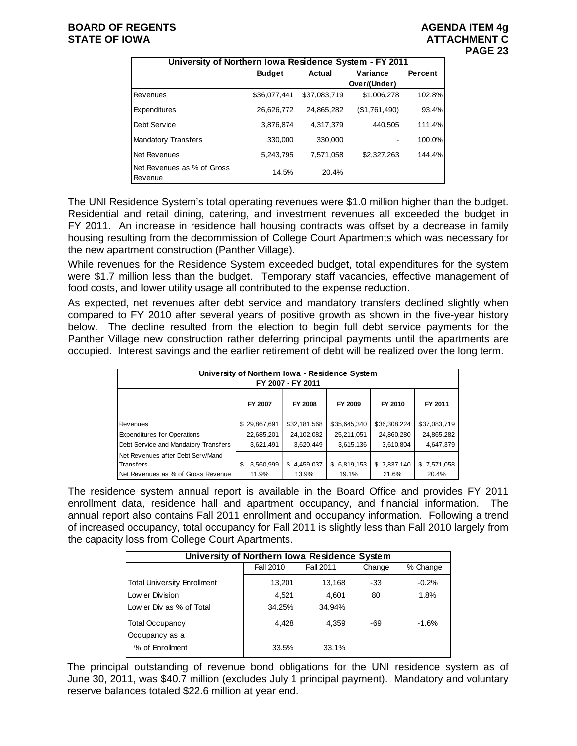| University of Northern Iowa Residence System - FY 2011 |               |              |               |         |  |  |  |  |  |
|--------------------------------------------------------|---------------|--------------|---------------|---------|--|--|--|--|--|
|                                                        | <b>Budget</b> | Actual       | Variance      | Percent |  |  |  |  |  |
|                                                        |               |              | Over/(Under)  |         |  |  |  |  |  |
| Revenues                                               | \$36,077,441  | \$37,083,719 | \$1,006,278   | 102.8%  |  |  |  |  |  |
| Expenditures                                           | 26,626,772    | 24.865.282   | (\$1,761,490) | 93.4%   |  |  |  |  |  |
| Debt Service                                           | 3,876,874     | 4,317,379    | 440,505       | 111.4%  |  |  |  |  |  |
| <b>Mandatory Transfers</b>                             | 330.000       | 330,000      |               | 100.0%  |  |  |  |  |  |
| Net Revenues                                           | 5,243,795     | 7.571.058    | \$2,327,263   | 144.4%  |  |  |  |  |  |
| Net Revenues as % of Gross<br>Revenue                  | 14.5%         | 20.4%        |               |         |  |  |  |  |  |

The UNI Residence System's total operating revenues were \$1.0 million higher than the budget. Residential and retail dining, catering, and investment revenues all exceeded the budget in FY 2011. An increase in residence hall housing contracts was offset by a decrease in family housing resulting from the decommission of College Court Apartments which was necessary for the new apartment construction (Panther Village).

While revenues for the Residence System exceeded budget, total expenditures for the system were \$1.7 million less than the budget. Temporary staff vacancies, effective management of food costs, and lower utility usage all contributed to the expense reduction.

As expected, net revenues after debt service and mandatory transfers declined slightly when compared to FY 2010 after several years of positive growth as shown in the five-year history below. The decline resulted from the election to begin full debt service payments for the Panther Village new construction rather deferring principal payments until the apartments are occupied. Interest savings and the earlier retirement of debt will be realized over the long term.

| University of Northern Iowa - Residence System<br>FY 2007 - FY 2011 |                |                |              |              |              |  |  |  |  |
|---------------------------------------------------------------------|----------------|----------------|--------------|--------------|--------------|--|--|--|--|
|                                                                     | FY 2007        | <b>FY 2008</b> | FY 2009      | FY 2010      | FY 2011      |  |  |  |  |
|                                                                     |                |                |              |              |              |  |  |  |  |
| Revenues                                                            | \$29,867,691   | \$32,181,568   | \$35,645,340 | \$36,308,224 | \$37,083,719 |  |  |  |  |
| <b>Expenditures for Operations</b>                                  | 22,685,201     | 24,102,082     | 25,211,051   | 24,860,280   | 24,865,282   |  |  |  |  |
| Debt Service and Mandatory Transfers                                | 3,621,491      | 3,620,449      | 3,615,136    | 3,610,804    | 4,647,379    |  |  |  |  |
| Net Revenues after Debt Serv/Mand                                   |                |                |              |              |              |  |  |  |  |
| Transfers                                                           | 3,560,999<br>S | \$4,459,037    | \$6,819,153  | \$7,837,140  | \$7,571,058  |  |  |  |  |
| Net Revenues as % of Gross Revenue                                  | 11.9%          | 13.9%          | 19.1%        | 21.6%        | 20.4%        |  |  |  |  |

The residence system annual report is available in the Board Office and provides FY 2011 enrollment data, residence hall and apartment occupancy, and financial information. The annual report also contains Fall 2011 enrollment and occupancy information. Following a trend of increased occupancy, total occupancy for Fall 2011 is slightly less than Fall 2010 largely from the capacity loss from College Court Apartments.

| University of Northern Iowa Residence System |                  |           |        |          |  |  |  |  |  |
|----------------------------------------------|------------------|-----------|--------|----------|--|--|--|--|--|
|                                              | <b>Fall 2010</b> | Fall 2011 | Change | % Change |  |  |  |  |  |
| <b>Total University Enrollment</b>           | 13,201           | 13,168    | -33    | $-0.2%$  |  |  |  |  |  |
| Low er Division                              | 4.521            | 4.601     | 80     | 1.8%     |  |  |  |  |  |
| Low er Div as % of Total                     | 34.25%           | 34.94%    |        |          |  |  |  |  |  |
| <b>Total Occupancy</b>                       | 4.428            | 4.359     | -69    | $-1.6%$  |  |  |  |  |  |
| Occupancy as a                               |                  |           |        |          |  |  |  |  |  |
| % of Enrollment                              | 33.5%            | 33.1%     |        |          |  |  |  |  |  |

The principal outstanding of revenue bond obligations for the UNI residence system as of June 30, 2011, was \$40.7 million (excludes July 1 principal payment). Mandatory and voluntary reserve balances totaled \$22.6 million at year end.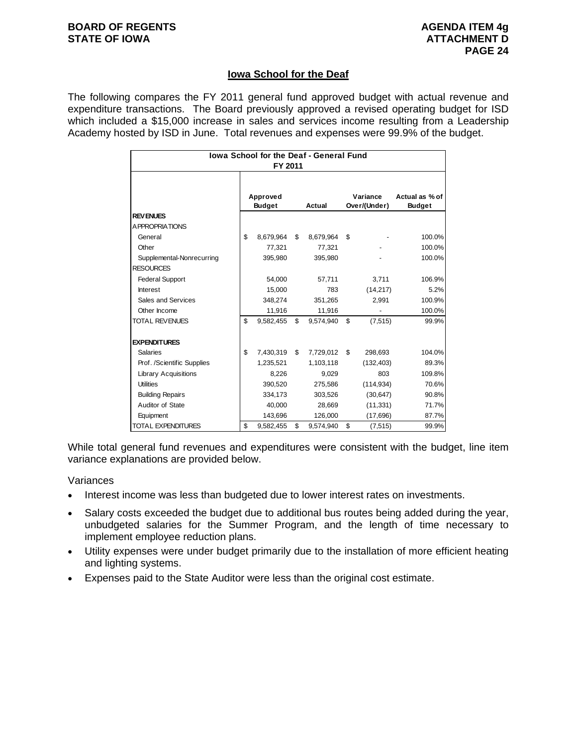### **BOARD OF REGENTS AGENDA ITEM 4g AGENDA ITEM 4g STATE OF IOWA ATTACHMENT D**

## **Iowa School for the Deaf**

The following compares the FY 2011 general fund approved budget with actual revenue and expenditure transactions. The Board previously approved a revised operating budget for ISD which included a \$15,000 increase in sales and services income resulting from a Leadership Academy hosted by ISD in June. Total revenues and expenses were 99.9% of the budget.

| <b>Iowa School for the Deaf - General Fund</b><br>FY 2011 |    |                           |    |           |    |                          |                                 |
|-----------------------------------------------------------|----|---------------------------|----|-----------|----|--------------------------|---------------------------------|
|                                                           |    | Approved<br><b>Budget</b> |    | Actual    |    | Variance<br>Over/(Under) | Actual as % of<br><b>Budget</b> |
| <b>REV ENUES</b>                                          |    |                           |    |           |    |                          |                                 |
| <b>APPROPRIATIONS</b>                                     |    |                           |    |           |    |                          |                                 |
| General                                                   | \$ | 8,679,964                 | \$ | 8,679,964 | \$ |                          | 100.0%                          |
| Other                                                     |    | 77,321                    |    | 77,321    |    |                          | 100.0%                          |
| Supplemental-Nonrecurring                                 |    | 395,980                   |    | 395,980   |    |                          | 100.0%                          |
| <b>RESOURCES</b>                                          |    |                           |    |           |    |                          |                                 |
| <b>Federal Support</b>                                    |    | 54,000                    |    | 57,711    |    | 3,711                    | 106.9%                          |
| <b>Interest</b>                                           |    | 15,000                    |    | 783       |    | (14, 217)                | 5.2%                            |
| Sales and Services                                        |    | 348,274                   |    | 351,265   |    | 2,991                    | 100.9%                          |
| Other Income                                              |    | 11,916                    |    | 11,916    |    |                          | 100.0%                          |
| <b>TOTAL REVENUES</b>                                     | \$ | 9.582.455                 | \$ | 9.574.940 | \$ | (7, 515)                 | 99.9%                           |
| <b>EXPENDITURES</b>                                       |    |                           |    |           |    |                          |                                 |
| <b>Salaries</b>                                           | \$ | 7,430,319                 | \$ | 7,729,012 | \$ | 298,693                  | 104.0%                          |
| Prof. /Scientific Supplies                                |    | 1,235,521                 |    | 1,103,118 |    | (132, 403)               | 89.3%                           |
| <b>Library Acquisitions</b>                               |    | 8,226                     |    | 9,029     |    | 803                      | 109.8%                          |
| <b>Utilities</b>                                          |    | 390,520                   |    | 275,586   |    | (114, 934)               | 70.6%                           |
| <b>Building Repairs</b>                                   |    | 334,173                   |    | 303,526   |    | (30, 647)                | 90.8%                           |
| Auditor of State                                          |    | 40,000                    |    | 28,669    |    | (11, 331)                | 71.7%                           |
| Equipment                                                 |    | 143,696                   |    | 126,000   |    | (17,696)                 | 87.7%                           |
| <b>TOTAL EXPENDITURES</b>                                 | \$ | 9,582,455                 | \$ | 9,574,940 | \$ | (7, 515)                 | 99.9%                           |

While total general fund revenues and expenditures were consistent with the budget, line item variance explanations are provided below.

#### Variances

- Interest income was less than budgeted due to lower interest rates on investments.
- Salary costs exceeded the budget due to additional bus routes being added during the year, unbudgeted salaries for the Summer Program, and the length of time necessary to implement employee reduction plans.
- Utility expenses were under budget primarily due to the installation of more efficient heating and lighting systems.
- Expenses paid to the State Auditor were less than the original cost estimate.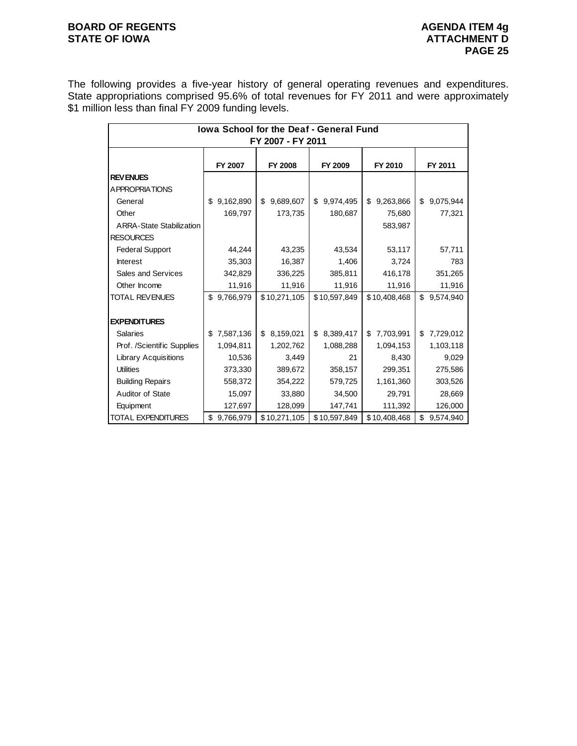# **BOARD OF REGENTS**<br> **BOARD OF REGENTS**<br> **BOARD OF IOWA**<br> **ATTACHMENT D**

The following provides a five-year history of general operating revenues and expenditures. State appropriations comprised 95.6% of total revenues for FY 2011 and were approximately \$1 million less than final FY 2009 funding levels.

| lowa School for the Deaf - General Fund |                 |                 |                 |                 |                 |  |  |  |  |  |
|-----------------------------------------|-----------------|-----------------|-----------------|-----------------|-----------------|--|--|--|--|--|
| FY 2007 - FY 2011                       |                 |                 |                 |                 |                 |  |  |  |  |  |
|                                         | FY 2007         | <b>FY 2008</b>  | FY 2009         | FY 2010         | FY 2011         |  |  |  |  |  |
| <b>REVENUES</b>                         |                 |                 |                 |                 |                 |  |  |  |  |  |
| <b>APPROPRIATIONS</b>                   |                 |                 |                 |                 |                 |  |  |  |  |  |
| General                                 | 9,162,890<br>\$ | \$<br>9,689,607 | \$<br>9,974,495 | 9,263,866<br>\$ | \$<br>9,075,944 |  |  |  |  |  |
| Other                                   | 169,797         | 173,735         | 180,687         | 75,680          | 77,321          |  |  |  |  |  |
| <b>ARRA-State Stabilization</b>         |                 |                 |                 | 583,987         |                 |  |  |  |  |  |
| <b>RESOURCES</b>                        |                 |                 |                 |                 |                 |  |  |  |  |  |
| <b>Federal Support</b>                  | 44,244          | 43,235          | 43,534          | 53,117          | 57,711          |  |  |  |  |  |
| <b>Interest</b>                         | 35,303          | 16,387          | 1,406           | 3,724           | 783             |  |  |  |  |  |
| Sales and Services                      | 342,829         | 336,225         | 385,811         | 416,178         | 351,265         |  |  |  |  |  |
| Other Income                            | 11,916          | 11,916          | 11,916          | 11,916          | 11,916          |  |  |  |  |  |
| TOTAL REVENUES                          | 9,766,979<br>\$ | \$10,271,105    | \$10,597,849    | \$10,408,468    | \$<br>9,574,940 |  |  |  |  |  |
| <b>EXPENDITURES</b>                     |                 |                 |                 |                 |                 |  |  |  |  |  |
| <b>Salaries</b>                         | 7,587,136<br>\$ | 8,159,021<br>\$ | 8,389,417<br>\$ | 7,703,991<br>\$ | 7,729,012<br>\$ |  |  |  |  |  |
| Prof. /Scientific Supplies              | 1,094,811       | 1,202,762       | 1,088,288       | 1,094,153       | 1,103,118       |  |  |  |  |  |
| <b>Library Acquisitions</b>             | 10,536          | 3,449           | 21              | 8,430           | 9,029           |  |  |  |  |  |
| <b>Utilities</b>                        | 373,330         | 389,672         | 358,157         | 299,351         | 275,586         |  |  |  |  |  |
| <b>Building Repairs</b>                 | 558,372         | 354,222         | 579,725         | 1,161,360       | 303,526         |  |  |  |  |  |
| Auditor of State                        | 15,097          | 33,880          | 34,500          | 29,791          | 28,669          |  |  |  |  |  |
| Equipment                               | 127,697         | 128,099         | 147,741         | 111,392         | 126,000         |  |  |  |  |  |
| <b>TOTAL EXPENDITURES</b>               | 9,766,979<br>\$ | \$10,271,105    | \$10,597,849    | \$10,408,468    | \$<br>9,574,940 |  |  |  |  |  |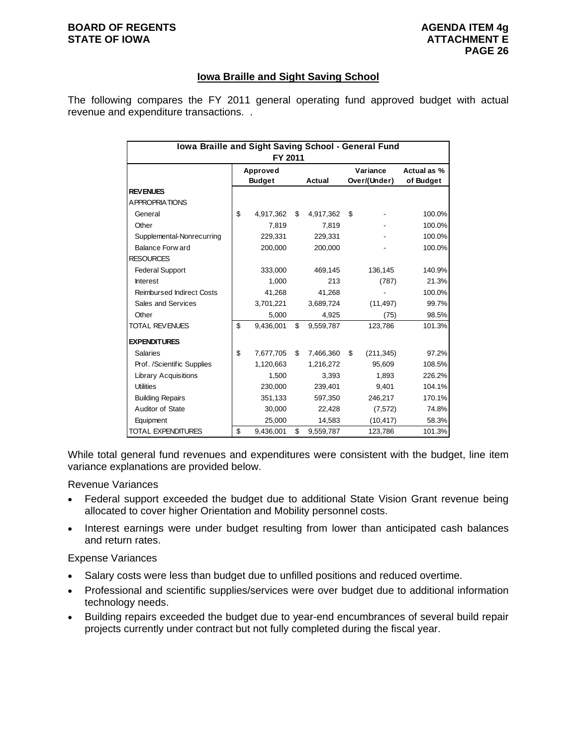### **BOARD OF REGENTS AGENDA ITEM 4g STATE OF IOWA ATTACHMENT E**

## **Iowa Braille and Sight Saving School**

The following compares the FY 2011 general operating fund approved budget with actual revenue and expenditure transactions. .

| Iowa Braille and Sight Saving School - General Fund<br>FY 2011 |                           |           |    |               |                          |            |                          |  |
|----------------------------------------------------------------|---------------------------|-----------|----|---------------|--------------------------|------------|--------------------------|--|
|                                                                | Approved<br><b>Budget</b> |           |    | <b>Actual</b> | Variance<br>Over/(Under) |            | Actual as %<br>of Budget |  |
| <b>REVENUES</b>                                                |                           |           |    |               |                          |            |                          |  |
| <b>APPROPRIATIONS</b>                                          |                           |           |    |               |                          |            |                          |  |
| General                                                        | \$                        | 4,917,362 | \$ | 4,917,362     | \$                       |            | 100.0%                   |  |
| Other                                                          |                           | 7,819     |    | 7,819         |                          |            | 100.0%                   |  |
| Supplemental-Nonrecurring                                      |                           | 229.331   |    | 229.331       |                          |            | 100.0%                   |  |
| Balance Forw ard                                               |                           | 200,000   |    | 200,000       |                          |            | 100.0%                   |  |
| <b>RESOURCES</b>                                               |                           |           |    |               |                          |            |                          |  |
| <b>Federal Support</b>                                         |                           | 333,000   |    | 469,145       |                          | 136,145    | 140.9%                   |  |
| <b>Interest</b>                                                |                           | 1,000     |    | 213           |                          | (787)      | 21.3%                    |  |
| <b>Reimbursed Indirect Costs</b>                               |                           | 41,268    |    | 41,268        |                          |            | 100.0%                   |  |
| Sales and Services                                             |                           | 3,701,221 |    | 3,689,724     |                          | (11, 497)  | 99.7%                    |  |
| Other                                                          |                           | 5,000     |    | 4,925         |                          | (75)       | 98.5%                    |  |
| <b>TOTAL REVENUES</b>                                          | \$                        | 9,436,001 | \$ | 9,559,787     |                          | 123,786    | 101.3%                   |  |
| <b>EXPENDITURES</b>                                            |                           |           |    |               |                          |            |                          |  |
| <b>Salaries</b>                                                | \$                        | 7,677,705 | \$ | 7,466,360     | \$                       | (211, 345) | 97.2%                    |  |
| Prof. /Scientific Supplies                                     |                           | 1,120,663 |    | 1.216.272     |                          | 95.609     | 108.5%                   |  |
| <b>Library Acquisitions</b>                                    |                           | 1,500     |    | 3.393         |                          | 1,893      | 226.2%                   |  |
| <b>Utilities</b>                                               |                           | 230,000   |    | 239,401       |                          | 9,401      | 104.1%                   |  |
| <b>Building Repairs</b>                                        |                           | 351,133   |    | 597,350       |                          | 246,217    | 170.1%                   |  |
| Auditor of State                                               |                           | 30,000    |    | 22,428        |                          | (7, 572)   | 74.8%                    |  |
| Equipment                                                      |                           | 25,000    |    | 14,583        |                          | (10, 417)  | 58.3%                    |  |
| <b>TOTAL EXPENDITURES</b>                                      | \$                        | 9,436,001 | \$ | 9,559,787     |                          | 123,786    | 101.3%                   |  |

While total general fund revenues and expenditures were consistent with the budget, line item variance explanations are provided below.

Revenue Variances

- Federal support exceeded the budget due to additional State Vision Grant revenue being allocated to cover higher Orientation and Mobility personnel costs.
- Interest earnings were under budget resulting from lower than anticipated cash balances and return rates.

#### Expense Variances

- Salary costs were less than budget due to unfilled positions and reduced overtime.
- Professional and scientific supplies/services were over budget due to additional information technology needs.
- Building repairs exceeded the budget due to year-end encumbrances of several build repair projects currently under contract but not fully completed during the fiscal year.